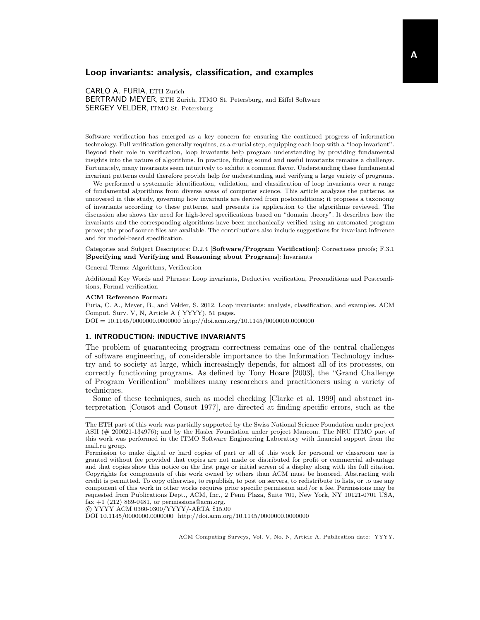# Loop invariants: analysis, classification, and examples

CARLO A. FURIA, ETH Zurich BERTRAND MEYER, ETH Zurich, ITMO St. Petersburg, and Eiffel Software SERGEY VELDER, ITMO St. Petersburg

Software verification has emerged as a key concern for ensuring the continued progress of information technology. Full verification generally requires, as a crucial step, equipping each loop with a "loop invariant". Beyond their role in verification, loop invariants help program understanding by providing fundamental insights into the nature of algorithms. In practice, finding sound and useful invariants remains a challenge. Fortunately, many invariants seem intuitively to exhibit a common flavor. Understanding these fundamental invariant patterns could therefore provide help for understanding and verifying a large variety of programs.

We performed a systematic identification, validation, and classification of loop invariants over a range of fundamental algorithms from diverse areas of computer science. This article analyzes the patterns, as uncovered in this study, governing how invariants are derived from postconditions; it proposes a taxonomy of invariants according to these patterns, and presents its application to the algorithms reviewed. The discussion also shows the need for high-level specifications based on "domain theory". It describes how the invariants and the corresponding algorithms have been mechanically verified using an automated program prover; the proof source files are available. The contributions also include suggestions for invariant inference and for model-based specification.

Categories and Subject Descriptors: D.2.4 [Software/Program Verification]: Correctness proofs; F.3.1 [Specifying and Verifying and Reasoning about Programs]: Invariants

General Terms: Algorithms, Verification

Additional Key Words and Phrases: Loop invariants, Deductive verification, Preconditions and Postconditions, Formal verification

#### ACM Reference Format:

Furia, C. A., Meyer, B., and Velder, S. 2012. Loop invariants: analysis, classification, and examples. ACM Comput. Surv. V, N, Article A ( YYYY), 51 pages.

DOI = 10.1145/0000000.0000000 http://doi.acm.org/10.1145/0000000.0000000

### 1. INTRODUCTION: INDUCTIVE INVARIANTS

The problem of guaranteeing program correctness remains one of the central challenges of software engineering, of considerable importance to the Information Technology industry and to society at large, which increasingly depends, for almost all of its processes, on correctly functioning programs. As defined by Tony Hoare [2003], the "Grand Challenge of Program Verification" mobilizes many researchers and practitioners using a variety of techniques.

Some of these techniques, such as model checking [Clarke et al. 1999] and abstract interpretation [Cousot and Cousot 1977], are directed at finding specific errors, such as the

c YYYY ACM 0360-0300/YYYY/-ARTA \$15.00

<code>DOI</code> 10.1145/0000000.00000000 http://doi.acm.org/10.1145/000000.0000000

The ETH part of this work was partially supported by the Swiss National Science Foundation under project ASII (# 200021-134976); and by the Hasler Foundation under project Mancom. The NRU ITMO part of this work was performed in the ITMO Software Engineering Laboratory with financial support from the mail.ru group.

Permission to make digital or hard copies of part or all of this work for personal or classroom use is granted without fee provided that copies are not made or distributed for profit or commercial advantage and that copies show this notice on the first page or initial screen of a display along with the full citation. Copyrights for components of this work owned by others than ACM must be honored. Abstracting with credit is permitted. To copy otherwise, to republish, to post on servers, to redistribute to lists, or to use any component of this work in other works requires prior specific permission and/or a fee. Permissions may be requested from Publications Dept., ACM, Inc., 2 Penn Plaza, Suite 701, New York, NY 10121-0701 USA, fax  $+1$  (212) 869-0481, or permissions@acm.org.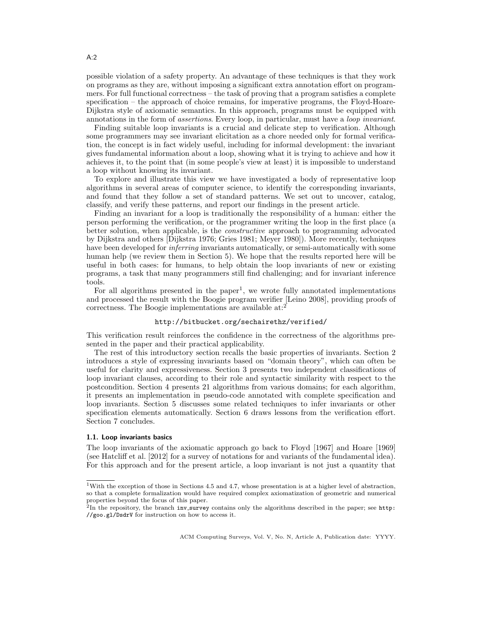possible violation of a safety property. An advantage of these techniques is that they work on programs as they are, without imposing a significant extra annotation effort on programmers. For full functional correctness – the task of proving that a program satisfies a complete specification – the approach of choice remains, for imperative programs, the Floyd-Hoare-Dijkstra style of axiomatic semantics. In this approach, programs must be equipped with annotations in the form of *assertions*. Every loop, in particular, must have a *loop invariant*.

Finding suitable loop invariants is a crucial and delicate step to verification. Although some programmers may see invariant elicitation as a chore needed only for formal verification, the concept is in fact widely useful, including for informal development: the invariant gives fundamental information about a loop, showing what it is trying to achieve and how it achieves it, to the point that (in some people's view at least) it is impossible to understand a loop without knowing its invariant.

To explore and illustrate this view we have investigated a body of representative loop algorithms in several areas of computer science, to identify the corresponding invariants, and found that they follow a set of standard patterns. We set out to uncover, catalog, classify, and verify these patterns, and report our findings in the present article.

Finding an invariant for a loop is traditionally the responsibility of a human: either the person performing the verification, or the programmer writing the loop in the first place (a better solution, when applicable, is the *constructive* approach to programming advocated by Dijkstra and others [Dijkstra 1976; Gries 1981; Meyer 1980]). More recently, techniques have been developed for *inferring* invariants automatically, or semi-automatically with some human help (we review them in Section 5). We hope that the results reported here will be useful in both cases: for humans, to help obtain the loop invariants of new or existing programs, a task that many programmers still find challenging; and for invariant inference tools.

For all algorithms presented in the paper<sup>1</sup>, we wrote fully annotated implementations and processed the result with the Boogie program verifier [Leino 2008], providing proofs of correctness. The Boogie implementations are available at:<sup>2</sup>

## http://bitbucket.org/sechairethz/verified/

This verification result reinforces the confidence in the correctness of the algorithms presented in the paper and their practical applicability.

The rest of this introductory section recalls the basic properties of invariants. Section 2 introduces a style of expressing invariants based on "domain theory", which can often be useful for clarity and expressiveness. Section 3 presents two independent classifications of loop invariant clauses, according to their role and syntactic similarity with respect to the postcondition. Section 4 presents 21 algorithms from various domains; for each algorithm, it presents an implementation in pseudo-code annotated with complete specification and loop invariants. Section 5 discusses some related techniques to infer invariants or other specification elements automatically. Section 6 draws lessons from the verification effort. Section 7 concludes.

### 1.1. Loop invariants basics

The loop invariants of the axiomatic approach go back to Floyd [1967] and Hoare [1969] (see Hatcliff et al. [2012] for a survey of notations for and variants of the fundamental idea). For this approach and for the present article, a loop invariant is not just a quantity that

<sup>1</sup>With the exception of those in Sections 4.5 and 4.7, whose presentation is at a higher level of abstraction, so that a complete formalization would have required complex axiomatization of geometric and numerical properties beyond the focus of this paper.<br><sup>2</sup>In the repository, the branch inv\_survey contains only the algorithms described in the paper; see http:

<sup>//</sup>goo.gl/DsdrV for instruction on how to access it.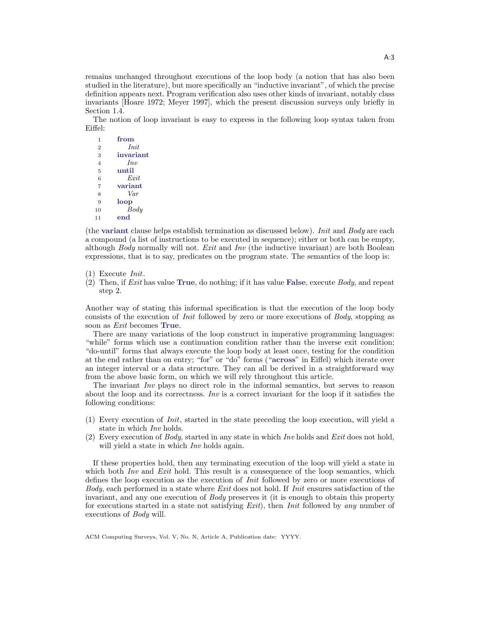remains unchanged throughout executions of the loop body (a notion that has also been studied in the literature), but more specifically an "inductive invariant", of which the precise definition appears next. Program verification also uses other kinds of invariant, notably class invariants [Hoare 1972; Meyer 1997], which the present discussion surveys only briefly in Section 1.4.

The notion of loop invariant is easy to express in the following loop syntax taken from Eiffel:

| 1              | from           |
|----------------|----------------|
| $\overline{2}$ | <i>Init</i>    |
| 3              | invariant      |
| $\overline{4}$ | In.            |
| 5              | $\bold{until}$ |
| 6              | Exit           |
| $\overline{7}$ | variant        |
| 8              | Var            |
| 9              | loop           |
| 10             | Body           |
| 11             | end            |
|                |                |

(the variant clause helps establish termination as discussed below). Init and Body are each a compound (a list of instructions to be executed in sequence); either or both can be empty, although  $Body$  normally will not. Exit and Inv (the inductive invariant) are both Boolean expressions, that is to say, predicates on the program state. The semantics of the loop is:

- (1) Execute Init.
- (2) Then, if Exit has value True, do nothing; if it has value False, execute  $Body$ , and repeat step 2.

Another way of stating this informal specification is that the execution of the loop body consists of the execution of Init followed by zero or more executions of Body, stopping as soon as Exit becomes True.

There are many variations of the loop construct in imperative programming languages: "while" forms which use a continuation condition rather than the inverse exit condition; "do-until" forms that always execute the loop body at least once, testing for the condition at the end rather than on entry; "for" or "do" forms ("across" in Eiffel) which iterate over an integer interval or a data structure. They can all be derived in a straightforward way from the above basic form, on which we will rely throughout this article.

The invariant Inv plays no direct role in the informal semantics, but serves to reason about the loop and its correctness. Inv is a correct invariant for the loop if it satisfies the following conditions:

- (1) Every execution of *Init*, started in the state preceding the loop execution, will yield a state in which Inv holds.
- (2) Every execution of *Body*, started in any state in which  $Inv$  holds and  $Exit$  does not hold, will yield a state in which Inv holds again.

If these properties hold, then any terminating execution of the loop will yield a state in which both  $Inv$  and  $Exit$  hold. This result is a consequence of the loop semantics, which defines the loop execution as the execution of Init followed by zero or more executions of Body, each performed in a state where Exit does not hold. If Init ensures satisfaction of the invariant, and any one execution of Body preserves it (it is enough to obtain this property for executions started in a state not satisfying Exit), then Init followed by any number of executions of Body will.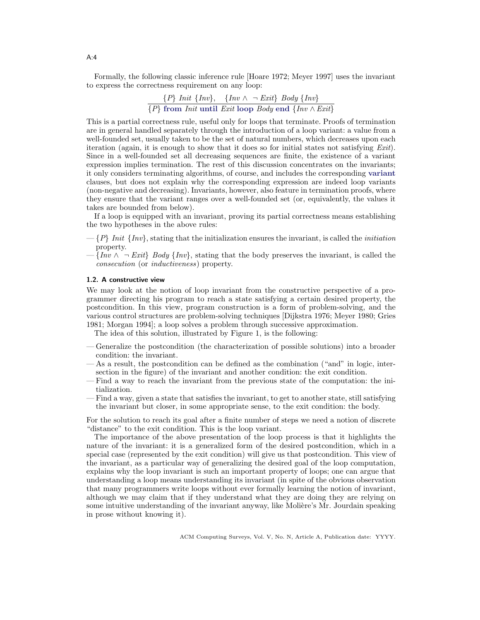Formally, the following classic inference rule [Hoare 1972; Meyer 1997] uses the invariant to express the correctness requirement on any loop:

> $\{P\}$  Init  $\{Inv\}, \quad \{Inv \land \neg \, Ext\}$  Body  $\{Inv\}$  ${P}$  from *Init* until *Exit* loop *Body* end  ${Inv \wedge Ext}$

This is a partial correctness rule, useful only for loops that terminate. Proofs of termination are in general handled separately through the introduction of a loop variant: a value from a well-founded set, usually taken to be the set of natural numbers, which decreases upon each iteration (again, it is enough to show that it does so for initial states not satisfying  $Exit)$ . Since in a well-founded set all decreasing sequences are finite, the existence of a variant expression implies termination. The rest of this discussion concentrates on the invariants; it only considers terminating algorithms, of course, and includes the corresponding variant clauses, but does not explain why the corresponding expression are indeed loop variants (non-negative and decreasing). Invariants, however, also feature in termination proofs, where they ensure that the variant ranges over a well-founded set (or, equivalently, the values it takes are bounded from below).

If a loop is equipped with an invariant, proving its partial correctness means establishing the two hypotheses in the above rules:

- $-\{P\}$  Init  $\{Inv\}$ , stating that the initialization ensures the invariant, is called the *initiation* property.
- $-\{Inv \wedge \neg \text{Exit}\}\text{ Body } \{Inv\}$ , stating that the body preserves the invariant, is called the consecution (or inductiveness) property.

### 1.2. A constructive view

We may look at the notion of loop invariant from the constructive perspective of a programmer directing his program to reach a state satisfying a certain desired property, the postcondition. In this view, program construction is a form of problem-solving, and the various control structures are problem-solving techniques [Dijkstra 1976; Meyer 1980; Gries 1981; Morgan 1994]; a loop solves a problem through successive approximation.

The idea of this solution, illustrated by Figure 1, is the following:

- Generalize the postcondition (the characterization of possible solutions) into a broader condition: the invariant.
- As a result, the postcondition can be defined as the combination ("and" in logic, intersection in the figure) of the invariant and another condition: the exit condition.
- Find a way to reach the invariant from the previous state of the computation: the initialization.
- Find a way, given a state that satisfies the invariant, to get to another state, still satisfying the invariant but closer, in some appropriate sense, to the exit condition: the body.

For the solution to reach its goal after a finite number of steps we need a notion of discrete "distance" to the exit condition. This is the loop variant.

The importance of the above presentation of the loop process is that it highlights the nature of the invariant: it is a generalized form of the desired postcondition, which in a special case (represented by the exit condition) will give us that postcondition. This view of the invariant, as a particular way of generalizing the desired goal of the loop computation, explains why the loop invariant is such an important property of loops; one can argue that understanding a loop means understanding its invariant (in spite of the obvious observation that many programmers write loops without ever formally learning the notion of invariant, although we may claim that if they understand what they are doing they are relying on some intuitive understanding of the invariant anyway, like Molière's Mr. Jourdain speaking in prose without knowing it).

 $A:4$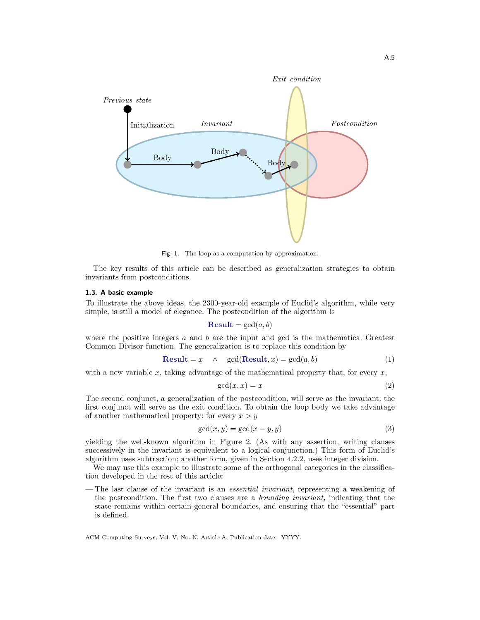

Fig. 1. The loop as a computation by approximation.

The key results of this article can be described as generalization strategies to obtain invariants from postconditions.

## 1.3. A basic example

To illustrate the above ideas, the 2300-year-old example of Euclid's algorithm, while very simple, is still a model of elegance. The postcondition of the algorithm is

$$
Result = gcd(a, b)
$$

where the positive integers  $a$  and  $b$  are the input and gcd is the mathematical Greatest Common Divisor function. The generalization is to replace this condition by

$$
Result = x \quad \wedge \quad \gcd(\text{Result}, x) = \gcd(a, b) \tag{1}
$$

with a new variable x, taking advantage of the mathematical property that, for every  $x$ ,

$$
\gcd(x, x) = x \tag{2}
$$

The second conjunct, a generalization of the postcondition, will serve as the invariant; the first conjunct will serve as the exit condition. To obtain the loop body we take advantage of another mathematical property: for every  $x > y$ 

$$
\gcd(x, y) = \gcd(x - y, y) \tag{3}
$$

yielding the well-known algorithm in Figure 2. (As with any assertion, writing clauses successively in the invariant is equivalent to a logical conjunction.) This form of Euclid's algorithm uses subtraction; another form, given in Section 4.2.2, uses integer division.

We may use this example to illustrate some of the orthogonal categories in the classification developed in the rest of this article:

— The last clause of the invariant is an *essential invariant*, representing a weakening of the postcondition. The first two clauses are a *bounding invariant*, indicating that the state remains within certain general boundaries, and ensuring that the "essential" part is defined.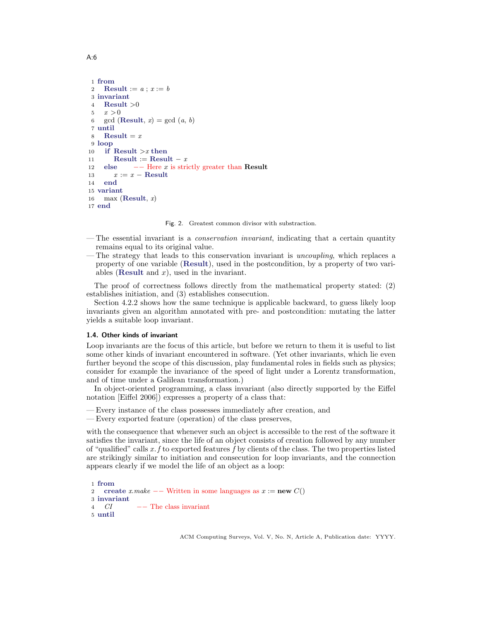```
1 from
2 Result := a; x := b3 invariant
4 Result >05 \t x > 06 gcd (Result, x) = gcd (a, b)7 until
8 Result = x9 loop
10 if Result >x then
11 Result := Result – x<br>12 else – Here x is stri
12 else - − Here x is strictly greater than Result
13 x := x -Result
14 end
15 variant
16 max (Result, x)
17 end
```
Fig. 2. Greatest common divisor with substraction.

— The essential invariant is a *conservation invariant*, indicating that a certain quantity remains equal to its original value.

The strategy that leads to this conservation invariant is *uncoupling*, which replaces a property of one variable (Result), used in the postcondition, by a property of two variables (**Result** and  $x$ ), used in the invariant.

The proof of correctness follows directly from the mathematical property stated: (2) establishes initiation, and (3) establishes consecution.

Section 4.2.2 shows how the same technique is applicable backward, to guess likely loop invariants given an algorithm annotated with pre- and postcondition: mutating the latter yields a suitable loop invariant.

# 1.4. Other kinds of invariant

Loop invariants are the focus of this article, but before we return to them it is useful to list some other kinds of invariant encountered in software. (Yet other invariants, which lie even further beyond the scope of this discussion, play fundamental roles in fields such as physics; consider for example the invariance of the speed of light under a Lorentz transformation, and of time under a Galilean transformation.)

In object-oriented programming, a class invariant (also directly supported by the Eiffel notation [Eiffel 2006]) expresses a property of a class that:

— Every instance of the class possesses immediately after creation, and

— Every exported feature (operation) of the class preserves,

with the consequence that whenever such an object is accessible to the rest of the software it satisfies the invariant, since the life of an object consists of creation followed by any number of "qualified" calls  $x.f$  to exported features f by clients of the class. The two properties listed are strikingly similar to initiation and consecution for loop invariants, and the connection appears clearly if we model the life of an object as a loop:

```
1 from
2 create x.make −− Written in some languages as x := new C()3 invariant
4 CI −− The class invariant
5 until
```

```
A:6
```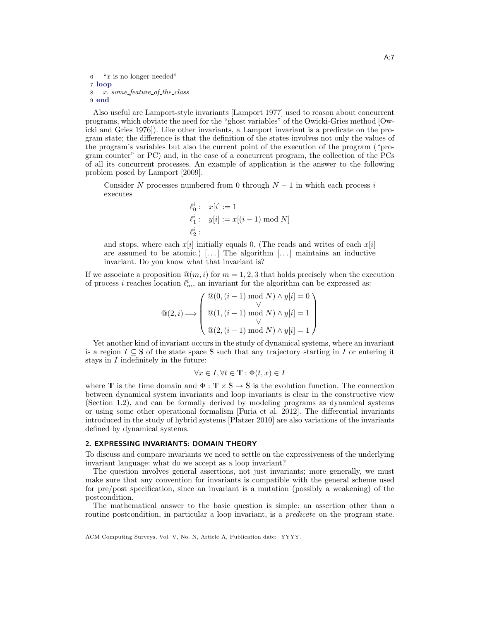```
6 "x is no longer needed"
7 loop
8 x. some feature of the class
9 end
```
Also useful are Lamport-style invariants [Lamport 1977] used to reason about concurrent programs, which obviate the need for the "ghost variables" of the Owicki-Gries method [Owicki and Gries 1976]). Like other invariants, a Lamport invariant is a predicate on the program state; the difference is that the definition of the states involves not only the values of the program's variables but also the current point of the execution of the program ("program counter" or PC) and, in the case of a concurrent program, the collection of the PCs of all its concurrent processes. An example of application is the answer to the following problem posed by Lamport [2009].

Consider N processes numbered from 0 through  $N-1$  in which each process i executes

$$
\begin{aligned}\n\ell_0^i: \quad &x[i] := 1 \\
\ell_1^i: \quad &y[i] := x[(i-1) \bmod N] \\
\ell_2^i: \quad &\end{aligned}
$$

and stops, where each  $x[i]$  initially equals 0. (The reads and writes of each  $x[i]$ are assumed to be atomic.)  $[...]$  The algorithm  $[...]$  maintains an inductive invariant. Do you know what that invariant is?

If we associate a proposition  $\mathbb{Q}(m,i)$  for  $m=1,2,3$  that holds precisely when the execution of process *i* reaches location  $\ell_m^i$ , an invariant for the algorithm can be expressed as:

$$
\mathbb{Q}(2, i) \Longrightarrow \begin{pmatrix} \mathbb{Q}(0, (i-1) \bmod N) \wedge y[i] = 0 \\ \vee \\ \mathbb{Q}(1, (i-1) \bmod N) \wedge y[i] = 1 \\ \vee \\ \mathbb{Q}(2, (i-1) \bmod N) \wedge y[i] = 1 \end{pmatrix}
$$

Yet another kind of invariant occurs in the study of dynamical systems, where an invariant is a region  $I \subseteq \mathcal{S}$  of the state space  $\mathcal{S}$  such that any trajectory starting in I or entering it stays in  $\mathcal I$  indefinitely in the future:

$$
\forall x \in I, \forall t \in \mathbb{T} : \Phi(t, x) \in I
$$

where T is the time domain and  $\Phi : \mathbb{T} \times \mathbb{S} \to \mathbb{S}$  is the evolution function. The connection between dynamical system invariants and loop invariants is clear in the constructive view (Section 1.2), and can be formally derived by modeling programs as dynamical systems or using some other operational formalism [Furia et al. 2012]. The differential invariants introduced in the study of hybrid systems [Platzer 2010] are also variations of the invariants defined by dynamical systems.

## 2. EXPRESSING INVARIANTS: DOMAIN THEORY

To discuss and compare invariants we need to settle on the expressiveness of the underlying invariant language: what do we accept as a loop invariant?

The question involves general assertions, not just invariants; more generally, we must make sure that any convention for invariants is compatible with the general scheme used for pre/post specification, since an invariant is a mutation (possibly a weakening) of the postcondition.

The mathematical answer to the basic question is simple: an assertion other than a routine postcondition, in particular a loop invariant, is a *predicate* on the program state.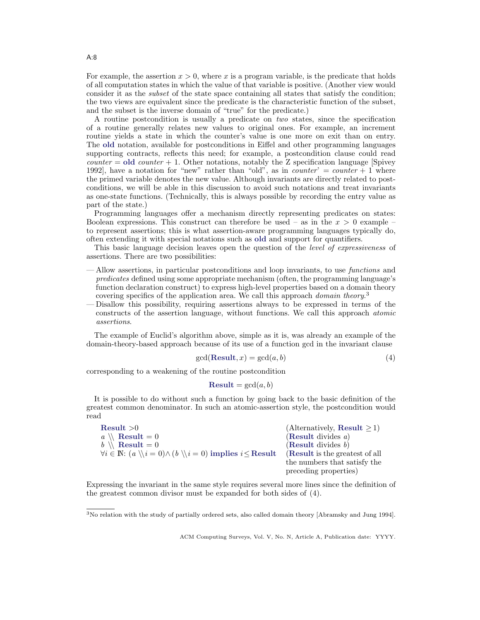For example, the assertion  $x > 0$ , where x is a program variable, is the predicate that holds of all computation states in which the value of that variable is positive. (Another view would consider it as the *subset* of the state space containing all states that satisfy the condition; the two views are equivalent since the predicate is the characteristic function of the subset, and the subset is the inverse domain of "true" for the predicate.)

A routine postcondition is usually a predicate on two states, since the specification of a routine generally relates new values to original ones. For example, an increment routine yields a state in which the counter's value is one more on exit than on entry. The old notation, available for postconditions in Eiffel and other programming languages supporting contracts, reflects this need; for example, a postcondition clause could read  $counter = old counter + 1$ . Other notations, notably the Z specification language [Spivey] 1992], have a notation for "new" rather than "old", as in *counter*' = *counter* + 1 where the primed variable denotes the new value. Although invariants are directly related to postconditions, we will be able in this discussion to avoid such notations and treat invariants as one-state functions. (Technically, this is always possible by recording the entry value as part of the state.)

Programming languages offer a mechanism directly representing predicates on states: Boolean expressions. This construct can therefore be used – as in the  $x > 0$  example – to represent assertions; this is what assertion-aware programming languages typically do, often extending it with special notations such as old and support for quantifiers.

This basic language decision leaves open the question of the level of expressiveness of assertions. There are two possibilities:

- Allow assertions, in particular postconditions and loop invariants, to use functions and predicates defined using some appropriate mechanism (often, the programming language's function declaration construct) to express high-level properties based on a domain theory covering specifics of the application area. We call this approach *domain theory*.<sup>3</sup>
- Disallow this possibility, requiring assertions always to be expressed in terms of the constructs of the assertion language, without functions. We call this approach atomic assertions.

The example of Euclid's algorithm above, simple as it is, was already an example of the domain-theory-based approach because of its use of a function gcd in the invariant clause

$$
\gcd(\text{Result}, x) = \gcd(a, b) \tag{4}
$$

corresponding to a weakening of the routine postcondition

$$
\mathbf{Result} = \gcd(a, b)
$$

It is possible to do without such a function by going back to the basic definition of the greatest common denominator. In such an atomic-assertion style, the postcondition would read

| Result > 0                                                                                         | (Alternatively, <b>Result</b> $\geq 1$ ) |
|----------------------------------------------------------------------------------------------------|------------------------------------------|
| a \\ Result = 0                                                                                    | ( <b>Result</b> divides $a$ )            |
| $b \setminus \textbf{Result} = 0$                                                                  | ( <b>Result</b> divides $b$ )            |
| $\forall i \in \mathbb{N}: (a \setminus i = 0) \wedge (b \setminus i = 0)$ implies $i \leq$ Result | ( <b>Result</b> is the greatest of all   |
|                                                                                                    | the numbers that satisfy the             |
|                                                                                                    | preceding properties)                    |

Expressing the invariant in the same style requires several more lines since the definition of the greatest common divisor must be expanded for both sides of (4).

<sup>3</sup>No relation with the study of partially ordered sets, also called domain theory [Abramsky and Jung 1994].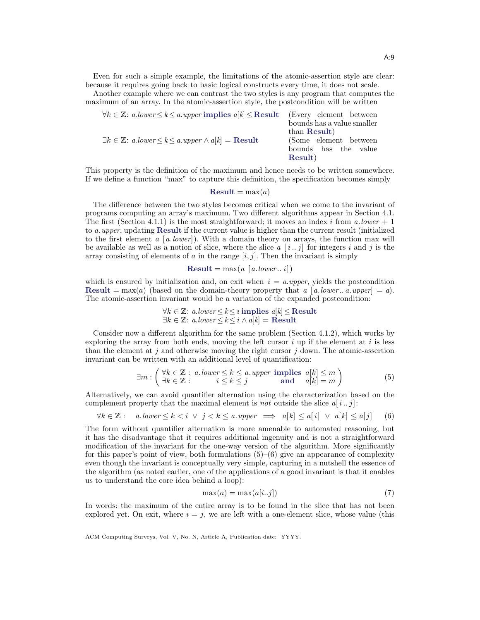Even for such a simple example, the limitations of the atomic-assertion style are clear: because it requires going back to basic logical constructs every time, it does not scale.

Another example where we can contrast the two styles is any program that computes the maximum of an array. In the atomic-assertion style, the postcondition will be written

| $\forall k \in \mathbb{Z}$ : a.lower $\leq k \leq a$ .upper implies $a[k] \leq$ Result (Every element between |                            |
|---------------------------------------------------------------------------------------------------------------|----------------------------|
|                                                                                                               | bounds has a value smaller |
|                                                                                                               | than <b>Result</b> )       |
| $\exists k \in \mathbb{Z}: a \text{.} lower \leq k \leq a \text{.} upper \land a[k] = \text{Result}$          | (Some element between)     |
|                                                                                                               | bounds has the value       |
|                                                                                                               | Result)                    |

This property is the definition of the maximum and hence needs to be written somewhere. If we define a function "max" to capture this definition, the specification becomes simply

 $Result = max(a)$ 

The difference between the two styles becomes critical when we come to the invariant of programs computing an array's maximum. Two different algorithms appear in Section 4.1. The first (Section 4.1.1) is the most straightforward; it moves an index i from a.lower  $+1$ to a.upper, updating Result if the current value is higher than the current result (initialized to the first element  $a \mid a \cdot lower$ . With a domain theory on arrays, the function max will be available as well as a notion of slice, where the slice  $a[i, j]$  for integers i and j is the array consisting of elements of a in the range  $[i, j]$ . Then the invariant is simply

$$
Result = max(a [a.lower.. i])
$$

which is ensured by initialization and, on exit when  $i = a.upper$ , yields the postcondition **Result** = max(a) (based on the domain-theory property that a [a.lower..a.upper] = a). The atomic-assertion invariant would be a variation of the expanded postcondition:

$$
\forall k \in \mathbb{Z}: a.lower \leq k \leq i implies a[k] \leq Result \exists k \in \mathbb{Z}: a.lower \leq k \leq i \land a[k] = Result
$$

Consider now a different algorithm for the same problem (Section 4.1.2), which works by exploring the array from both ends, moving the left cursor  $i$  up if the element at  $i$  is less than the element at  $j$  and otherwise moving the right cursor  $j$  down. The atomic-assertion invariant can be written with an additional level of quantification:

$$
\exists m : \left( \begin{array}{c} \forall k \in \mathbb{Z} : a. \text{ lower} \leq k \leq a. \text{ upper implies } a[k] \leq m \\ \exists k \in \mathbb{Z} : i \leq k \leq j \end{array} \right) \tag{5}
$$

Alternatively, we can avoid quantifier alternation using the characterization based on the complement property that the maximal element is *not* outside the slice  $a[i \tcdot j]$ :

$$
\forall k \in \mathbb{Z}: \quad a \textit{.lower} \leq k < i \ \lor \ j < k \leq a \textit{.upper} \implies a[k] \leq a[i] \ \lor \ a[k] \leq a[j] \tag{6}
$$

The form without quantifier alternation is more amenable to automated reasoning, but it has the disadvantage that it requires additional ingenuity and is not a straightforward modification of the invariant for the one-way version of the algorithm. More significantly for this paper's point of view, both formulations  $(5)-(6)$  give an appearance of complexity even though the invariant is conceptually very simple, capturing in a nutshell the essence of the algorithm (as noted earlier, one of the applications of a good invariant is that it enables us to understand the core idea behind a loop):

$$
\max(a) = \max(a[i..j])\tag{7}
$$

In words: the maximum of the entire array is to be found in the slice that has not been explored yet. On exit, where  $i = j$ , we are left with a one-element slice, whose value (this

ACM Computing Surveys, Vol. V, No. N, Article A, Publication date: YYYY.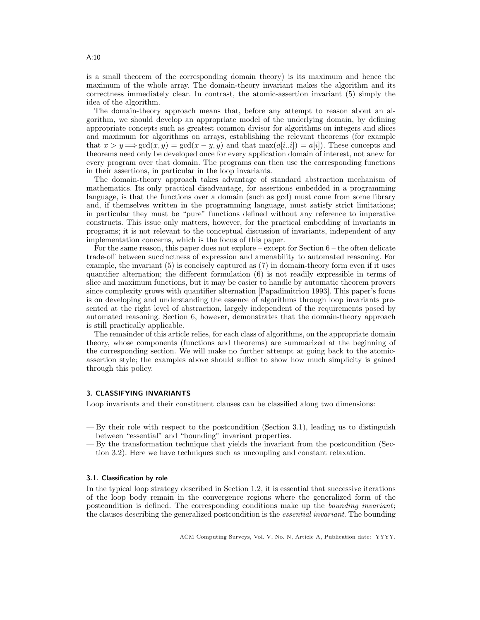is a small theorem of the corresponding domain theory) is its maximum and hence the maximum of the whole array. The domain-theory invariant makes the algorithm and its correctness immediately clear. In contrast, the atomic-assertion invariant (5) simply the idea of the algorithm.

The domain-theory approach means that, before any attempt to reason about an algorithm, we should develop an appropriate model of the underlying domain, by defining appropriate concepts such as greatest common divisor for algorithms on integers and slices and maximum for algorithms on arrays, establishing the relevant theorems (for example that  $x > y \Longrightarrow \gcd(x, y) = \gcd(x - y, y)$  and that  $\max(a[i..i]) = a[i]$ . These concepts and theorems need only be developed once for every application domain of interest, not anew for every program over that domain. The programs can then use the corresponding functions in their assertions, in particular in the loop invariants.

The domain-theory approach takes advantage of standard abstraction mechanism of mathematics. Its only practical disadvantage, for assertions embedded in a programming language, is that the functions over a domain (such as gcd) must come from some library and, if themselves written in the programming language, must satisfy strict limitations; in particular they must be "pure" functions defined without any reference to imperative constructs. This issue only matters, however, for the practical embedding of invariants in programs; it is not relevant to the conceptual discussion of invariants, independent of any implementation concerns, which is the focus of this paper.

For the same reason, this paper does not explore – except for Section  $6$  – the often delicate trade-off between succinctness of expression and amenability to automated reasoning. For example, the invariant (5) is concisely captured as (7) in domain-theory form even if it uses quantifier alternation; the different formulation (6) is not readily expressible in terms of slice and maximum functions, but it may be easier to handle by automatic theorem provers since complexity grows with quantifier alternation [Papadimitriou 1993]. This paper's focus is on developing and understanding the essence of algorithms through loop invariants presented at the right level of abstraction, largely independent of the requirements posed by automated reasoning. Section 6, however, demonstrates that the domain-theory approach is still practically applicable.

The remainder of this article relies, for each class of algorithms, on the appropriate domain theory, whose components (functions and theorems) are summarized at the beginning of the corresponding section. We will make no further attempt at going back to the atomicassertion style; the examples above should suffice to show how much simplicity is gained through this policy.

## 3. CLASSIFYING INVARIANTS

Loop invariants and their constituent clauses can be classified along two dimensions:

- By their role with respect to the postcondition (Section 3.1), leading us to distinguish between "essential" and "bounding" invariant properties.
- By the transformation technique that yields the invariant from the postcondition (Section 3.2). Here we have techniques such as uncoupling and constant relaxation.

## 3.1. Classification by role

In the typical loop strategy described in Section 1.2, it is essential that successive iterations of the loop body remain in the convergence regions where the generalized form of the postcondition is defined. The corresponding conditions make up the bounding invariant; the clauses describing the generalized postcondition is the *essential invariant*. The bounding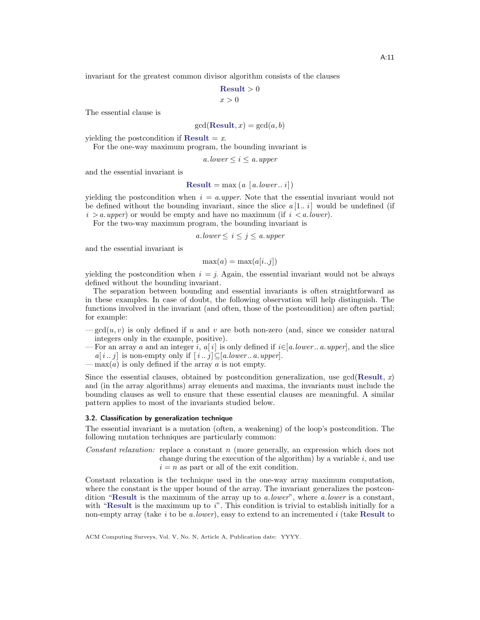invariant for the greatest common divisor algorithm consists of the clauses

$$
\begin{aligned} \textbf{Result} > 0\\ x > 0 \end{aligned}
$$

The essential clause is

$$
\gcd(\mathbf{Result}, x) = \gcd(a, b)
$$

yielding the postcondition if **Result**  $= x$ .

For the one-way maximum program, the bounding invariant is

a.lower  $\leq i \leq a$ .upper

and the essential invariant is

$$
Result = \max(a [a.lower.. i])
$$

yielding the postcondition when  $i = a.upper$ . Note that the essential invariant would not be defined without the bounding invariant, since the slice  $a[1.. i]$  would be undefined (if  $i > a. upper$  or would be empty and have no maximum (if  $i < a. lower$ ).

For the two-way maximum program, the bounding invariant is

a.lower  $\leq i \leq j \leq a$ .upper

and the essential invariant is

$$
\max(a) = \max(a[i..j])
$$

yielding the postcondition when  $i = j$ . Again, the essential invariant would not be always defined without the bounding invariant.

The separation between bounding and essential invariants is often straightforward as in these examples. In case of doubt, the following observation will help distinguish. The functions involved in the invariant (and often, those of the postcondition) are often partial; for example:

- $-\gcd(u, v)$  is only defined if u and v are both non-zero (and, since we consider natural integers only in the example, positive).
- For an array a and an integer i, a[i] is only defined if  $i \in [a, lower.. a, upper]$ , and the slice  $a[i.. j]$  is non-empty only if  $[i.. j] \subseteq [a.lower.. a.upper]$ .
- $-\max(a)$  is only defined if the array a is not empty.

Since the essential clauses, obtained by postcondition generalization, use  $gcd(Result, x)$ and (in the array algorithms) array elements and maxima, the invariants must include the bounding clauses as well to ensure that these essential clauses are meaningful. A similar pattern applies to most of the invariants studied below.

### 3.2. Classification by generalization technique

The essential invariant is a mutation (often, a weakening) of the loop's postcondition. The following mutation techniques are particularly common:

Constant relaxation: replace a constant  $n$  (more generally, an expression which does not change during the execution of the algorithm) by a variable  $i$ , and use  $i = n$  as part or all of the exit condition.

Constant relaxation is the technique used in the one-way array maximum computation, where the constant is the upper bound of the array. The invariant generalizes the postcondition "Result is the maximum of the array up to a.lower", where a.lower is a constant, with "Result is the maximum up to  $i$ ". This condition is trivial to establish initially for a non-empty array (take i to be a.lower), easy to extend to an incremented i (take Result to

ACM Computing Surveys, Vol. V, No. N, Article A, Publication date: YYYY.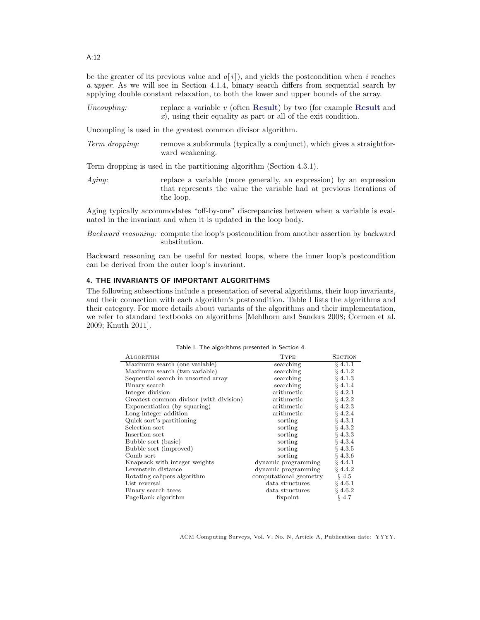be the greater of its previous value and  $a[i]$ , and yields the postcondition when i reaches a.upper. As we will see in Section 4.1.4, binary search differs from sequential search by applying double constant relaxation, to both the lower and upper bounds of the array.

Uncoupling: replace a variable v (often Result) by two (for example Result and x), using their equality as part or all of the exit condition.

Uncoupling is used in the greatest common divisor algorithm.

*Term dropping:* remove a subformula (typically a conjunct), which gives a straightforward weakening.

Term dropping is used in the partitioning algorithm (Section 4.3.1).

Aging: replace a variable (more generally, an expression) by an expression that represents the value the variable had at previous iterations of the loop.

Aging typically accommodates "off-by-one" discrepancies between when a variable is evaluated in the invariant and when it is updated in the loop body.

Backward reasoning: compute the loop's postcondition from another assertion by backward substitution.

Backward reasoning can be useful for nested loops, where the inner loop's postcondition can be derived from the outer loop's invariant.

# 4. THE INVARIANTS OF IMPORTANT ALGORITHMS

The following subsections include a presentation of several algorithms, their loop invariants, and their connection with each algorithm's postcondition. Table I lists the algorithms and their category. For more details about variants of the algorithms and their implementation, we refer to standard textbooks on algorithms [Mehlhorn and Sanders 2008; Cormen et al. 2009; Knuth 2011].

| ALGORITHM                               | <b>TYPE</b>            | <b>SECTION</b> |
|-----------------------------------------|------------------------|----------------|
| Maximum search (one variable)           | searching              | $§$ 4.1.1      |
| Maximum search (two variable)           | searching              | $§$ 4.1.2      |
| Sequential search in unsorted array     | searching              | § 4.1.3        |
| Binary search                           | searching              | $\{4.1.4$      |
| Integer division                        | arithmetic             | $§$ 4.2.1      |
| Greatest common divisor (with division) | arithmetic             | $§$ 4.2.2      |
| Exponentiation (by squaring)            | arithmetic             | $§$ 4.2.3      |
| Long integer addition                   | arithmetic             | $§$ 4.2.4      |
| Quick sort's partitioning               | sorting                | $§$ 4.3.1      |
| Selection sort                          | sorting                | § 4.3.2        |
| Insertion sort                          | sorting                | § 4.3.3        |
| Bubble sort (basic)                     | sorting                | $§$ 4.3.4      |
| Bubble sort (improved)                  | sorting                | $§$ 4.3.5      |
| Comb sort                               | sorting                | § 4.3.6        |
| Knapsack with integer weights           | dynamic programming    | $§$ 4.4.1      |
| Levenstein distance                     | dynamic programming    | $\{4.4.2$      |
| Rotating calipers algorithm             | computational geometry | $\S$ 4.5       |
| List reversal                           | data structures        | $\S$ 4.6.1     |
| Binary search trees                     | data structures        | § 4.6.2        |
| PageRank algorithm                      | fixpoint               | $\S$ 4.7       |

Table I. The algorithms presented in Section 4.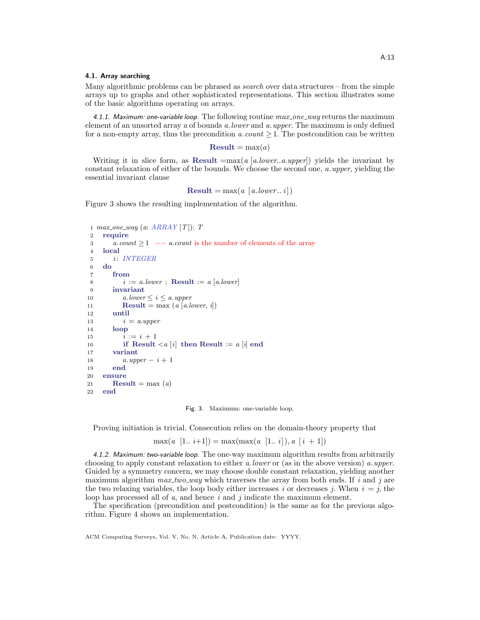### 4.1. Array searching

Many algorithmic problems can be phrased as *search* over data structures – from the simple arrays up to graphs and other sophisticated representations. This section illustrates some of the basic algorithms operating on arrays.

*4.1.1. Maximum: one-variable loop.* The following routine  $max\_one\_way$  returns the maximum element of an unsorted array a of bounds a.lower and a.upper. The maximum is only defined for a non-empty array, thus the precondition a.count  $\geq 1$ . The postcondition can be written

 $Result = max(a)$ 

Writing it in slice form, as **Result**  $=$ max $(a \mid a \text{.lower...} a \text{.upper})$  yields the invariant by constant relaxation of either of the bounds. We choose the second one, a.upper, yielding the essential invariant clause

 $$ 

Figure 3 shows the resulting implementation of the algorithm.

```
1 max_one_way (a: ARRAY[T]): T
2 require
3 a.count \geq 1 - - a.count is the number of elements of the array
4 local
5 i : INTEGER
6 do
7 from
8 i := a.lower ; Result := a [a.lower]9 invariant
10 a. lower \leq i \leq a. upper11 Result = max (a \mid a \text{. lower, } i)12 until
13 i = a.upper14 loop
15 i := i + 116 if Result \langle a | i \rangle then Result := a | i \rangle end
17 variant
18 a. upper - i + 119 end
20 ensure
21 Result = max (a)22 end
```
Fig. 3. Maximum: one-variable loop.

Proving initiation is trivial. Consecution relies on the domain-theory property that

 $\max(a \; [1.. i+1]) = \max(\max(a \; [1.. i]), a \; [i+1])$ 

*4.1.2. Maximum: two-variable loop.* The one-way maximum algorithm results from arbitrarily choosing to apply constant relaxation to either a.lower or (as in the above version) a.upper. Guided by a symmetry concern, we may choose double constant relaxation, yielding another maximum algorithm  $max_t two_way$  which traverses the array from both ends. If i and j are the two relaxing variables, the loop body either increases i or decreases j. When  $i = j$ , the loop has processed all of  $a$ , and hence  $i$  and  $j$  indicate the maximum element.

The specification (precondition and postcondition) is the same as for the previous algorithm. Figure 4 shows an implementation.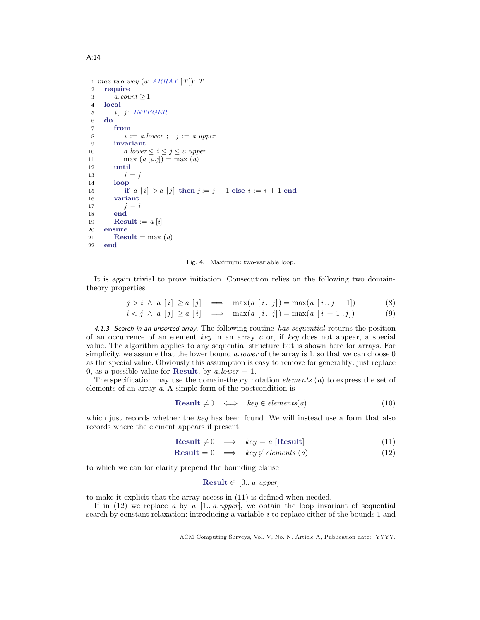```
1 max_two_way (a: ARRAY [T]): T
2 require
3 a.count >14 local
i, j: INTEGR6 do
7 from
8 i := a \cdot lower ; j := a \cdot upper9 invariant
10 a. lower \leq i \leq j \leq a. upper
11 max (a [i..j]) = \max (a)12 until
13 i = j14 loop
15 if a[i] > a[j] then j := j - 1 else i := i + 1 end
16 variant
17 j - i18 end
19 Result := a[i]20 ensure
21 Result = max (a)22 end
```
#### Fig. 4. Maximum: two-variable loop.

It is again trivial to prove initiation. Consecution relies on the following two domaintheory properties:

$$
j > i \ \land \ a \ [i] \ge a \ [j] \implies \max(a \ [i \mathinner{\ldotp\ldotp} j]) = \max(a \ [i \mathinner{\ldotp\ldotp} j - 1]) \tag{8}
$$

$$
i < j \ \land \ a \ [j] \ge a \ [i] \implies \max(a \ [i \mathinner{\ldotp\ldotp} j]) = \max(a \ [i+1 \mathinner{\ldotp\ldotp} j]) \tag{9}
$$

*4.1.3. Search in an unsorted array.* The following routine has sequential returns the position of an occurrence of an element key in an array  $a$  or, if key does not appear, a special value. The algorithm applies to any sequential structure but is shown here for arrays. For simplicity, we assume that the lower bound a.lower of the array is 1, so that we can choose  $0$ as the special value. Obviously this assumption is easy to remove for generality: just replace 0, as a possible value for **Result**, by  $a \cdot lower - 1$ .

The specification may use the domain-theory notation *elements* (a) to express the set of elements of an array a. A simple form of the postcondition is

$$
Result \neq 0 \iff key \in elements(a) \tag{10}
$$

which just records whether the key has been found. We will instead use a form that also records where the element appears if present:

$$
Result \neq 0 \implies key = a [Result] \tag{11}
$$

$$
Result = 0 \implies key \notin elements (a) \tag{12}
$$

to which we can for clarity prepend the bounding clause

$$
Result \in [0.. a. upper]
$$

to make it explicit that the array access in (11) is defined when needed.

If in  $(12)$  we replace a by a [1.. a. upper], we obtain the loop invariant of sequential search by constant relaxation: introducing a variable i to replace either of the bounds 1 and

ACM Computing Surveys, Vol. V, No. N, Article A, Publication date: YYYY.

A:14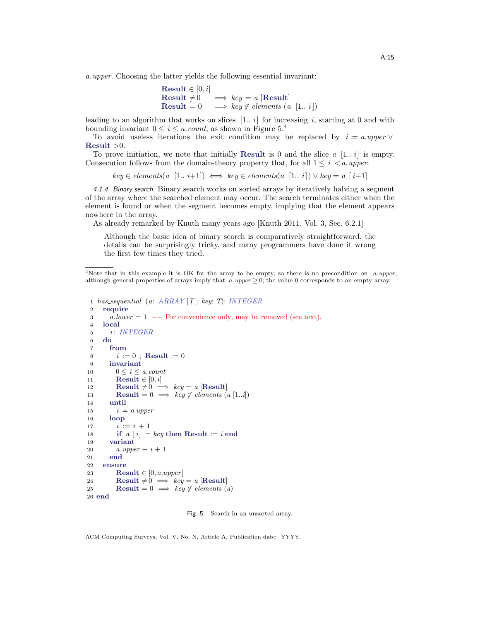a.upper. Choosing the latter yields the following essential invariant:

Result 
$$
\in [0, i]
$$
  
Result  $\neq 0$   $\implies$  key = a [Result]  
Result = 0  $\implies$  key  $\notin$  elements (a [1.. i])

leading to an algorithm that works on slices  $[1.. i]$  for increasing i, starting at 0 and with bounding invariant  $0 \leq i \leq a$ . *count*, as shown in Figure 5.<sup>4</sup>

To avoid useless iterations the exit condition may be replaced by  $i = a.upper \vee$  $Result > 0.$ 

To prove initiation, we note that initially **Result** is 0 and the slice  $a \, [1, i]$  is empty. Consecution follows from the domain-theory property that, for all  $1 \leq i < a$  upper:

 $key \in elements(a [1.. i+1]) \iff key \in elements(a [1.. i]) \lor key = a [i+1]$ 

*4.1.4. Binary search.* Binary search works on sorted arrays by iteratively halving a segment of the array where the searched element may occur. The search terminates either when the element is found or when the segment becomes empty, implying that the element appears nowhere in the array.

As already remarked by Knuth many years ago [Knuth 2011, Vol. 3, Sec. 6.2.1]

Although the basic idea of binary search is comparatively straightforward, the details can be surprisingly tricky, and many programmers have done it wrong the first few times they tried.

Fig. 5. Search in an unsorted array.

<sup>4</sup>Note that in this example it is OK for the array to be empty, so there is no precondition on *a*.*upper*, although general properties of arrays imply that  $a. upper \geq 0$ ; the value 0 corresponds to an empty array.

<sup>1</sup> has sequential (a:  $ARRAY$  [T]; key: T): INTEGER

<sup>2</sup> require 3 a.lower = 1  $-$  For convenience only, may be removed (see text). 4 local 5 i : INTEGER 6 do 7 from 8  $i := 0$ ; Result := 0 9 invariant 10  $0 \leq i \leq a$ . count 11 **Result**  $\in [0, i]$ 12 Result  $\neq 0 \implies key = a$  [Result]<br>13 Result = 0  $\implies key \notin elements$  ( **Result** = 0  $\implies$  key  $\notin$  elements (a [1..*i*]) 14 until 15  $i = a.upper$ 16 loop 17  $i := i + 1$ 18 if  $a[i] = key$  then Result := i end 19 variant 20  $a. upper-i+1$ 21 end 22 ensure 23 **Result**  $\in [0, a.upper]$ 24 Result  $\neq 0 \implies key = a$  [Result] 25 Result = 0  $\implies$  key  $\notin$  elements (a) 26 end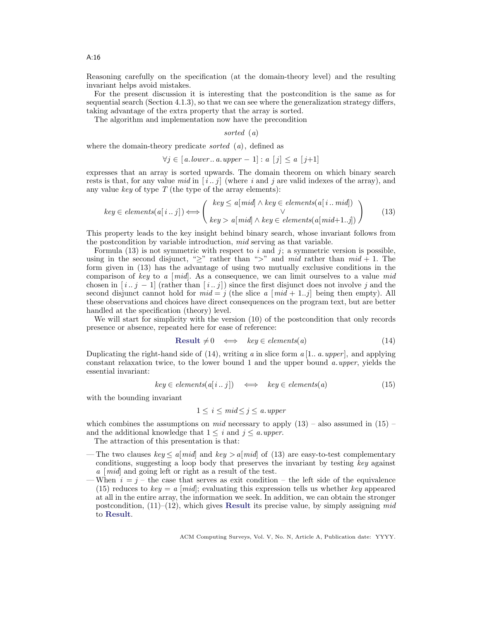Reasoning carefully on the specification (at the domain-theory level) and the resulting invariant helps avoid mistakes.

For the present discussion it is interesting that the postcondition is the same as for sequential search (Section 4.1.3), so that we can see where the generalization strategy differs, taking advantage of the extra property that the array is sorted.

The algorithm and implementation now have the precondition

## sorted (a)

where the domain-theory predicate *sorted*  $(a)$ , defined as

$$
\forall j \in [a.lower..a.upper-1]: a [j] \leq a [j+1]
$$

expresses that an array is sorted upwards. The domain theorem on which binary search rests is that, for any value  $mid$  in  $[i..j]$  (where i and j are valid indexes of the array), and any value key of type  $T$  (the type of the array elements):

$$
key \in elements(a[i..j]) \Longleftrightarrow \left(\begin{array}{c} key \leq a[mid] \land key \in elements(a[i..mid]) \\ \lor \\ key > a[mid] \land key \in elements(a[mid+1..j]) \end{array}\right) \tag{13}
$$

This property leads to the key insight behind binary search, whose invariant follows from the postcondition by variable introduction, mid serving as that variable.

Formula  $(13)$  is not symmetric with respect to i and j; a symmetric version is possible, using in the second disjunct, "≥" rather than ">" and  $mid$  rather than  $mid + 1$ . The form given in (13) has the advantage of using two mutually exclusive conditions in the comparison of key to a  $[mid]$ . As a consequence, we can limit ourselves to a value  $mid$ chosen in  $[i..j-1]$  (rather than  $[i..j]$ ) since the first disjunct does not involve j and the second disjunct cannot hold for  $mid = j$  (the slice a [mid + 1..j] being then empty). All these observations and choices have direct consequences on the program text, but are better handled at the specification (theory) level.

We will start for simplicity with the version (10) of the postcondition that only records presence or absence, repeated here for ease of reference:

$$
Result \neq 0 \iff key \in elements(a) \tag{14}
$$

Duplicating the right-hand side of  $(14)$ , writing a in slice form  $a \, [1.. a. upper]$ , and applying constant relaxation twice, to the lower bound 1 and the upper bound a.upper, yields the essential invariant:

$$
key \in elements(a[i..j]) \iff key \in elements(a) \tag{15}
$$

with the bounding invariant

$$
1 \leq i \leq mid \leq j \leq a.upper
$$

which combines the assumptions on *mid* necessary to apply  $(13)$  – also assumed in  $(15)$  – and the additional knowledge that  $1 \leq i$  and  $j \leq a$ . upper.

The attraction of this presentation is that:

- The two clauses  $key \leq a [mid]$  and  $key > a [mid]$  of (13) are easy-to-test complementary conditions, suggesting a loop body that preserves the invariant by testing key against a [mid] and going left or right as a result of the test.
- When  $i = j$  the case that serves as exit condition the left side of the equivalence (15) reduces to  $key = a |mid;$  evaluating this expression tells us whether key appeared at all in the entire array, the information we seek. In addition, we can obtain the stronger postcondition,  $(11)$ – $(12)$ , which gives Result its precise value, by simply assigning mid to Result.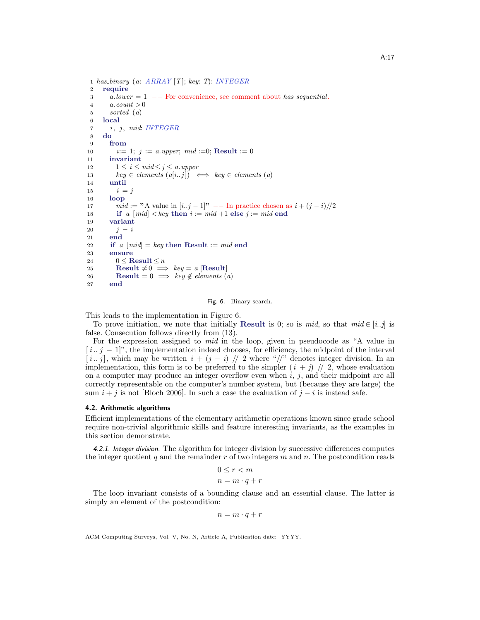```
1 has_binary (a: ARRAY[T]; key: T): INTEGER
2 require
3 a. lower = 1 -- For convenience, see comment about has sequential.
4 a.count > 05 sorted (a)
6 local
7 \quad i, j, mid: INTEGR8 do
9 from
10 i:= 1; j := a. upper; mid := 0; Result := 011 invariant
12 1 \leq i \leq mid \leq j \leq a.\text{upper}13 key ∈ elements (a[i..j]) \iff key \in elements (a)14 until
15 i = j16 loop
17 mid := "A value in [i..j-1]" -- In practice chosen as i + (j-i)/218 if a [mid] < key then i := mid +1 else j := mid end
19 variant
20 j - i21 end
22 if a [mid] = key then Result := mid end<br>
23 ensure
      ensure
24 0 \leqResult\leq n25 Result \neq 0 \implies key = a [Result]
26 Result = 0 \implies key \notin elements (a)
27 end
```
Fig. 6. Binary search.

This leads to the implementation in Figure 6.

To prove initiation, we note that initially Result is 0; so is mid, so that  $mid \in [i..j]$  is false. Consecution follows directly from (13).

For the expression assigned to mid in the loop, given in pseudocode as "A value in  $[i.. j - 1]$ ", the implementation indeed chooses, for efficiency, the midpoint of the interval  $[i.. j]$ , which may be written  $i + (j - i)$  // 2 where "//" denotes integer division. In an implementation, this form is to be preferred to the simpler  $(i + j)$  // 2, whose evaluation on a computer may produce an integer overflow even when  $i, j$ , and their midpoint are all correctly representable on the computer's number system, but (because they are large) the sum  $i + j$  is not [Bloch 2006]. In such a case the evaluation of  $j - i$  is instead safe.

#### 4.2. Arithmetic algorithms

Efficient implementations of the elementary arithmetic operations known since grade school require non-trivial algorithmic skills and feature interesting invariants, as the examples in this section demonstrate.

*4.2.1. Integer division.* The algorithm for integer division by successive differences computes the integer quotient q and the remainder r of two integers  $m$  and  $n$ . The postcondition reads

```
0 \leq r \leq mn = m \cdot q + r
```
The loop invariant consists of a bounding clause and an essential clause. The latter is simply an element of the postcondition:

$$
n = m \cdot q + r
$$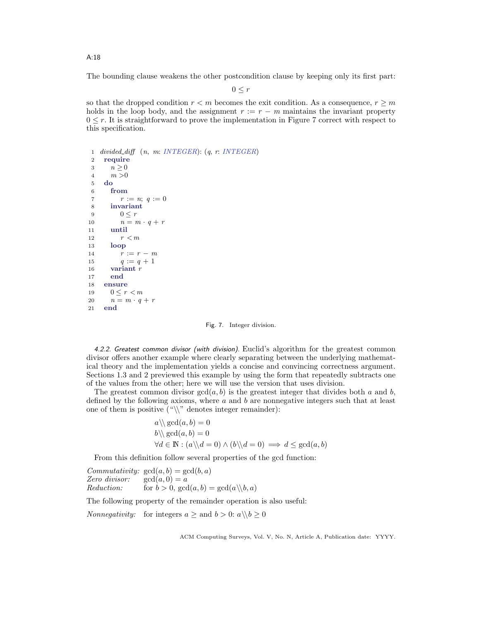The bounding clause weakens the other postcondition clause by keeping only its first part:

 $0 \leq r$ 

so that the dropped condition  $r < m$  becomes the exit condition. As a consequence,  $r \geq m$ holds in the loop body, and the assignment  $r := r - m$  maintains the invariant property  $0 \leq r$ . It is straightforward to prove the implementation in Figure 7 correct with respect to this specification.

```
1 divided diff (n, m: INTEGER): (q, r: INTEGER)
2 require
3 n \geq 0<br>4 m > 0m > 05 do
6 from
7 r := n; q := 08 invariant
9 0 \leq r10 n = m \cdot q + r11 until
12 r < m13 loop
14 r := r - m15 q := q + 116 variant r17 end
18 ensure
19 0 \leq r < m20 n = m \cdot q + r21 end
```
Fig. 7. Integer division.

*4.2.2. Greatest common divisor (with division).* Euclid's algorithm for the greatest common divisor offers another example where clearly separating between the underlying mathematical theory and the implementation yields a concise and convincing correctness argument. Sections 1.3 and 2 previewed this example by using the form that repeatedly subtracts one of the values from the other; here we will use the version that uses division.

The greatest common divisor  $gcd(a, b)$  is the greatest integer that divides both a and b, defined by the following axioms, where  $a$  and  $b$  are nonnegative integers such that at least one of them is positive  $(\mathcal{C})$  denotes integer remainder):

$$
a \setminus \gcd(a, b) = 0
$$
  

$$
b \setminus \gcd(a, b) = 0
$$
  

$$
\forall d \in \mathbb{N} : (a \setminus \{d = 0\} \land (b \setminus \{d = 0\}) \implies d \le \gcd(a, b)
$$

From this definition follow several properties of the gcd function:

Commutativity:  $gcd(a, b) = gcd(b, a)$ Zero divisor:  $gcd(a, 0) = a$ <br>
Reduction: for  $b > 0$ , gcc for  $b > 0$ ,  $gcd(a, b) = gcd(a \setminus b, a)$ 

The following property of the remainder operation is also useful:

*Nonnegativity:* for integers  $a \geq$  and  $b > 0$ :  $a \backslash b \geq 0$ 

ACM Computing Surveys, Vol. V, No. N, Article A, Publication date: YYYY.

A:18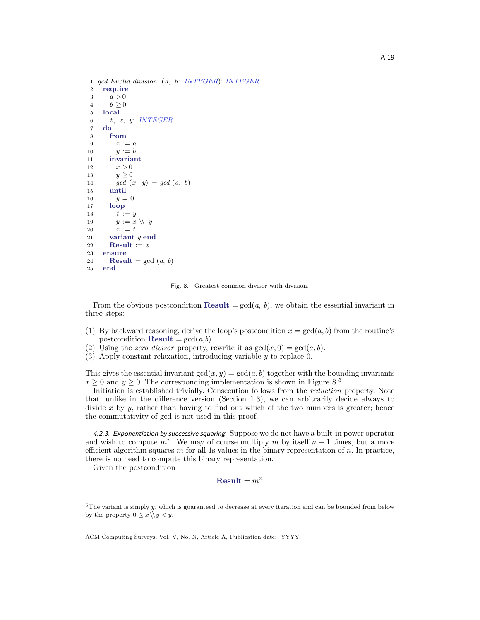```
1 gcd Euclid division (a, b: INTEGER): INTEGER
2 require
3 a > 04 b > 05 local
\begin{array}{cc} 6 & t, x, y: \; INTEGR \end{array}7 do
8 from
9 x := a10 y := b11 invariant
12 x > 013 y \geq 014 gcd(x, y) = gcd(a, b)15 until
16 y = 017 loop
18 t := y19 y := x \setminus y20 x := t21 variant y end
22 Result := x<br>23 ensure
    ensure
24 Result = gcd(a, b)25 end
```
Fig. 8. Greatest common divisor with division.

From the obvious postcondition Result =  $gcd(a, b)$ , we obtain the essential invariant in three steps:

- (1) By backward reasoning, derive the loop's postcondition  $x = \gcd(a, b)$  from the routine's postcondition **Result** =  $gcd(a, b)$ .
- (2) Using the zero divisor property, rewrite it as  $gcd(x, 0) = gcd(a, b)$ .
- (3) Apply constant relaxation, introducing variable y to replace 0.

This gives the essential invariant  $gcd(x, y) = gcd(a, b)$  together with the bounding invariants  $x \geq 0$  and  $y \geq 0$ . The corresponding implementation is shown in Figure 8.<sup>5</sup>

Initiation is established trivially. Consecution follows from the reduction property. Note that, unlike in the difference version (Section 1.3), we can arbitrarily decide always to divide x by y, rather than having to find out which of the two numbers is greater; hence the commutativity of gcd is not used in this proof.

*4.2.3. Exponentiation by successive squaring.* Suppose we do not have a built-in power operator and wish to compute  $m<sup>n</sup>$ . We may of course multiply m by itself  $n-1$  times, but a more efficient algorithm squares  $m$  for all 1s values in the binary representation of  $n$ . In practice, there is no need to compute this binary representation.

Given the postcondition

$$
\mathbf{Result} = m^n
$$

 $5$ The variant is simply  $y$ , which is guaranteed to decrease at every iteration and can be bounded from below by the property  $0 \leq x \setminus y < y$ .

ACM Computing Surveys, Vol. V, No. N, Article A, Publication date: YYYY.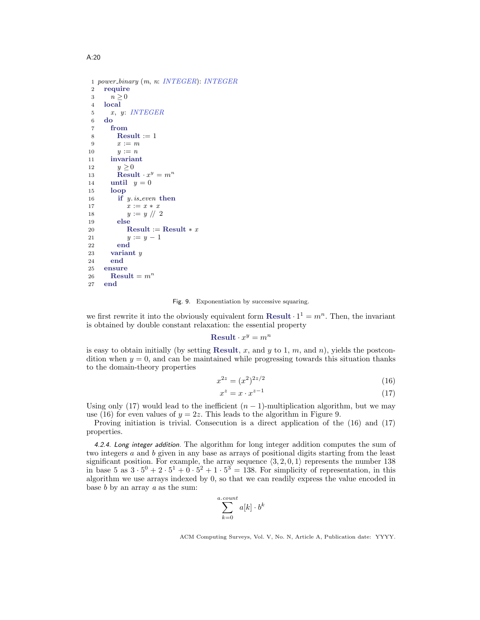```
1 power binary (m, n: INTEGER): INTEGER
2 require
3 n > 04 local
5 \quad x, \ y: \ INTEGR6 do
7 from
8 Result := 19 x := m10 y := n11 invariant
12 y \geq 013 Result x^y = m^n14 until y = 015 loop
16 if y. is even then
17 x := x * x18 y := y \text{ // } 219 else
20 Result := Result * x
21 y := y - 122 end
23 variant y
24 end
25 ensure
26 Result = m^n27 end
```
Fig. 9. Exponentiation by successive squaring.

we first rewrite it into the obviously equivalent form **Result**  $\cdot 1^1 = m^n$ . Then, the invariant is obtained by double constant relaxation: the essential property

 $\text{Result} \cdot x^y = m^n$ 

is easy to obtain initially (by setting Result, x, and y to 1, m, and n), yields the postcondition when  $y = 0$ , and can be maintained while progressing towards this situation thanks to the domain-theory properties

$$
x^{2z} = (x^2)^{2z/2} \tag{16}
$$

$$
x^z = x \cdot x^{z-1} \tag{17}
$$

Using only (17) would lead to the inefficient  $(n - 1)$ -multiplication algorithm, but we may use (16) for even values of  $y = 2z$ . This leads to the algorithm in Figure 9.

Proving initiation is trivial. Consecution is a direct application of the (16) and (17) properties.

*4.2.4. Long integer addition.* The algorithm for long integer addition computes the sum of two integers a and b given in any base as arrays of positional digits starting from the least significant position. For example, the array sequence  $\langle 3, 2, 0, 1 \rangle$  represents the number 138 in base 5 as  $3 \cdot 5^0 + 2 \cdot 5^1 + 0 \cdot 5^2 + 1 \cdot 5^3 = 138$ . For simplicity of representation, in this algorithm we use arrays indexed by 0, so that we can readily express the value encoded in base  $b$  by an array  $a$  as the sum:

$$
\sum_{k=0}^{a.\mathit{count}} a[k] \cdot b^k
$$

ACM Computing Surveys, Vol. V, No. N, Article A, Publication date: YYYY.

A:20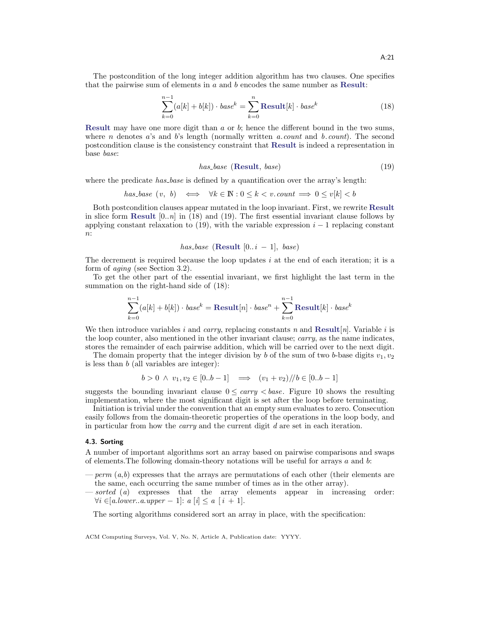The postcondition of the long integer addition algorithm has two clauses. One specifies that the pairwise sum of elements in  $a$  and  $b$  encodes the same number as **Result:** 

$$
\sum_{k=0}^{n-1} (a[k] + b[k]) \cdot base^k = \sum_{k=0}^{n} \text{Result}[k] \cdot base^k \tag{18}
$$

Result may have one more digit than a or b; hence the different bound in the two sums, where n denotes a's and b's length (normally written a.count and b.count). The second postcondition clause is the consistency constraint that Result is indeed a representation in base base:

$$
has\_base \text{ (Result, } base)
$$
\n
$$
(19)
$$

where the predicate *has\_base* is defined by a quantification over the array's length:

$$
has\_base \ (v, \ b) \iff \forall k \in \mathbb{N} : 0 \le k < v \ count \implies 0 \le v[k] < b
$$

Both postcondition clauses appear mutated in the loop invariant. First, we rewrite Result in slice form Result  $[0..n]$  in (18) and (19). The first essential invariant clause follows by applying constant relaxation to (19), with the variable expression  $i - 1$  replacing constant n:

$$
has\_base \text{ (Result }[0..i-1], \text{ } base)
$$

The decrement is required because the loop updates i at the end of each iteration; it is a form of aging (see Section 3.2).

To get the other part of the essential invariant, we first highlight the last term in the summation on the right-hand side of (18):

$$
\sum_{k=0}^{n-1} (a[k] + b[k]) \cdot base^{k} = \text{Result}[n] \cdot base^{n} + \sum_{k=0}^{n-1} \text{Result}[k] \cdot base^{k}
$$

We then introduce variables i and carry, replacing constants n and Result [n]. Variable i is the loop counter, also mentioned in the other invariant clause; *carry*, as the name indicates, stores the remainder of each pairwise addition, which will be carried over to the next digit.

The domain property that the integer division by b of the sum of two b-base digits  $v_1, v_2$ is less than b (all variables are integer):

$$
b > 0 \ \land \ v_1, v_2 \in [0..b-1] \implies (v_1 + v_2) / b \in [0..b-1]
$$

suggests the bounding invariant clause  $0 \leq carry \leq base$ . Figure 10 shows the resulting implementation, where the most significant digit is set after the loop before terminating.

Initiation is trivial under the convention that an empty sum evaluates to zero. Consecution easily follows from the domain-theoretic properties of the operations in the loop body, and in particular from how the *carry* and the current digit  $d$  are set in each iteration.

### 4.3. Sorting

A number of important algorithms sort an array based on pairwise comparisons and swaps of elements. The following domain-theory notations will be useful for arrays  $a$  and  $b$ :

- perm  $(a,b)$  expresses that the arrays are permutations of each other (their elements are the same, each occurring the same number of times as in the other array).
- $-$  sorted  $(a)$  expresses that the array elements appear in increasing order:  $\forall i \in [a, lower..a,upper-1]: a[i] ≤ a[i+1].$

The sorting algorithms considered sort an array in place, with the specification: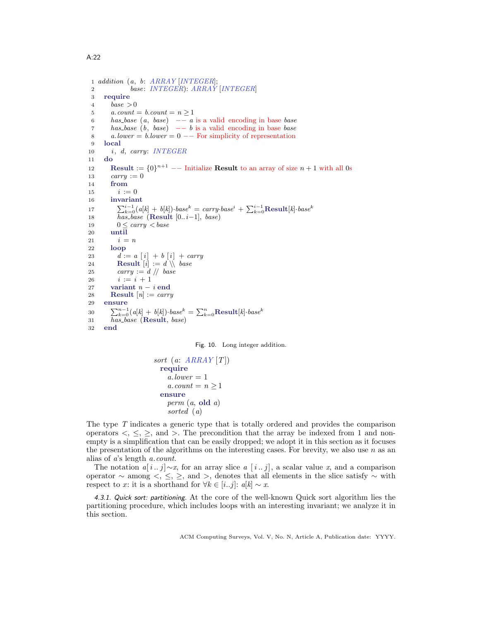1 addition (a, b: ARRAY [INTEGER]; 2 base: INTEGER): ARRAY [INTEGER] 3 require 4  $base >0$ 5 a. count = b. count =  $n \ge 1$ 6 has\_base  $(a, base) \rightarrow -a$  is a valid encoding in base base  $7$  has\_base (b, base)  $-$  b is a valid encoding in base base 8 a. lower =  $b \cdot lower = 0$  -- For simplicity of representation 9 local  $10$  i, d, carry: INTEGER 11 do 12 Result :=  $\{0\}^{n+1}$  -- Initialize Result to an array of size  $n+1$  with all 0s 13  $carry := 0$ 14 from 15  $i := 0$ 16 invariant 17  $\sum_{k=0}^{i-1} (a[k] + b[k]) \cdot base^k = carry \cdot base^i + \sum_{k=0}^{i-1} \text{Result}[k] \cdot base^k$ 18 has base (Result [0..*i*-1], base) 19  $0 \leq carry < base$ 20 until 21  $i = n$ 22 loop 23  $d := a [i] + b [i] + carry$ 24 **Result**  $[i] := d \setminus \mathit{base}$ 25 *carry*  $:= d \, // \, base$ 26  $i := i + 1$ 27 variant  $n - i$  end 28 **Result**  $[n] := carry$ 29 ensure 30  $\sum_{k=0}^{n-1} (a[k] + b[k]) \cdot base^k = \sum_{k=0}^{n} \textbf{Result}[k] \cdot base^k$ 31 has base (Result, base) 32 end



$$
sort (a: ARRAY [T])
$$
  
require  

$$
a.lower = 1
$$
  

$$
a.count = n \ge 1
$$
  
ensure  

$$
perm (a, old a)
$$
  
sorted (a)

The type T indicates a generic type that is totally ordered and provides the comparison operators  $\lt, \leq$ ,  $\geq$ , and  $\gt$ . The precondition that the array be indexed from 1 and nonempty is a simplification that can be easily dropped; we adopt it in this section as it focuses the presentation of the algorithms on the interesting cases. For brevity, we also use  $n$  as an alias of a's length a.count.

The notation  $a[i \, . \, j] \sim x$ , for an array slice  $a[i \, . \, j]$ , a scalar value x, and a comparison operator  $\sim$  among  $\lt$ ,  $\leq$ ,  $\geq$ , and  $\gt$ , denotes that all elements in the slice satisfy  $\sim$  with respect to x: it is a shorthand for  $\forall k \in [i..j]: a[k] \sim x$ .

*4.3.1. Quick sort: partitioning.* At the core of the well-known Quick sort algorithm lies the partitioning procedure, which includes loops with an interesting invariant; we analyze it in this section.

ACM Computing Surveys, Vol. V, No. N, Article A, Publication date: YYYY.

A:22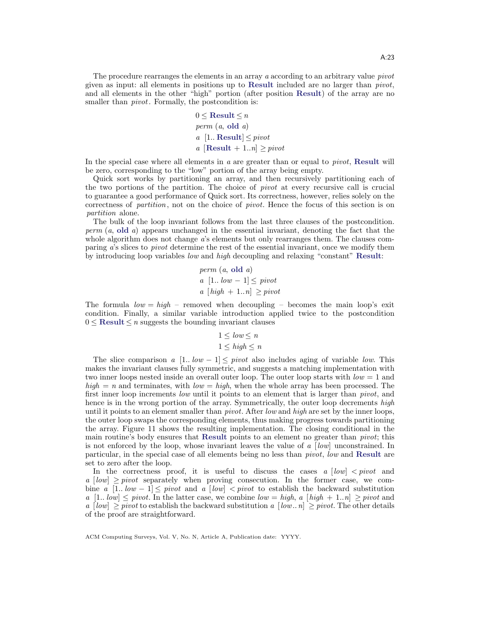The procedure rearranges the elements in an array a according to an arbitrary value *pivot* given as input: all elements in positions up to Result included are no larger than pivot, and all elements in the other "high" portion (after position Result) of the array are no smaller than *pivot*. Formally, the postcondition is:

$$
0 \le \text{Result} \le n
$$
  
perm (a, old a)  
a [1.. Result]  $\le$  pivot  
a [Result + 1..n]  $\ge$  pivot

In the special case where all elements in  $a$  are greater than or equal to *pivot*, Result will be zero, corresponding to the "low" portion of the array being empty.

Quick sort works by partitioning an array, and then recursively partitioning each of the two portions of the partition. The choice of pivot at every recursive call is crucial to guarantee a good performance of Quick sort. Its correctness, however, relies solely on the correctness of partition, not on the choice of pivot. Hence the focus of this section is on partition alone.

The bulk of the loop invariant follows from the last three clauses of the postcondition. perm  $(a, \text{old } a)$  appears unchanged in the essential invariant, denoting the fact that the whole algorithm does not change a's elements but only rearranges them. The clauses comparing a's slices to pivot determine the rest of the essential invariant, once we modify them by introducing loop variables low and high decoupling and relaxing "constant" Result:

$$
perm\ (a, \text{ old } a)
$$
  

$$
a\ [1..\ low-1] \leq pivot
$$
  

$$
a\ [high+1..n] \geq pivot
$$

The formula  $low = high$  – removed when decoupling – becomes the main loop's exit condition. Finally, a similar variable introduction applied twice to the postcondition  $0 \leq$  Result  $\leq n$  suggests the bounding invariant clauses

$$
1 \leq low \leq n
$$
  

$$
1 \leq high \leq n
$$

The slice comparison a  $[1..low-1] \leq pivot$  also includes aging of variable low. This makes the invariant clauses fully symmetric, and suggests a matching implementation with two inner loops nested inside an overall outer loop. The outer loop starts with  $low = 1$  and  $high = n$  and terminates, with  $low = high$ , when the whole array has been processed. The first inner loop increments low until it points to an element that is larger than *pivot*, and hence is in the wrong portion of the array. Symmetrically, the outer loop decrements high until it points to an element smaller than *pivot*. After low and high are set by the inner loops, the outer loop swaps the corresponding elements, thus making progress towards partitioning the array. Figure 11 shows the resulting implementation. The closing conditional in the main routine's body ensures that Result points to an element no greater than pivot; this is not enforced by the loop, whose invariant leaves the value of  $\alpha$  [low] unconstrained. In particular, in the special case of all elements being no less than pivot, low and Result are set to zero after the loop.

In the correctness proof, it is useful to discuss the cases  $a \mid low \mid < pivot$  and  $a \mid low \geq pivot$  separately when proving consecution. In the former case, we combine a  $[1..low-1] \leq pivot$  and a  $[low] < pivot$  to establish the backward substitution a [1.. low]  $\leq$  pivot. In the latter case, we combine low  $=$  high, a [high + 1.. n]  $\geq$  pivot and a [low] > pivot to establish the backward substitution a [low..n] > pivot. The other details of the proof are straightforward.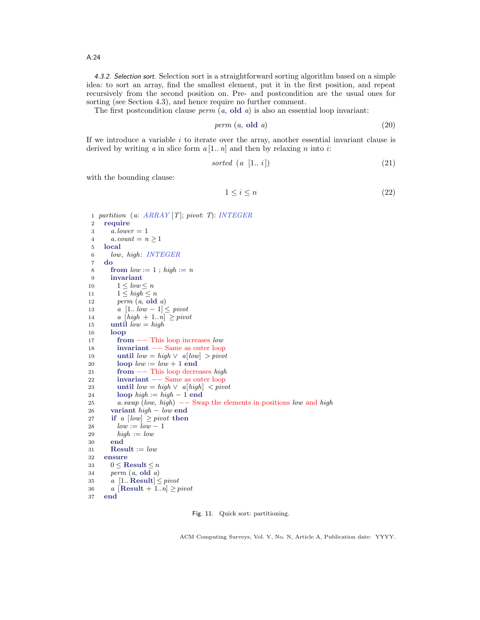*4.3.2. Selection sort.* Selection sort is a straightforward sorting algorithm based on a simple idea: to sort an array, find the smallest element, put it in the first position, and repeat recursively from the second position on. Pre- and postcondition are the usual ones for sorting (see Section 4.3), and hence require no further comment.

The first postcondition clause  $perm(a, old, a)$  is also an essential loop invariant:

$$
perm\ (a,\ \mathbf{old}\ a)\tag{20}
$$

If we introduce a variable  $i$  to iterate over the array, another essential invariant clause is derived by writing a in slice form  $a \mid 1..n \mid$  and then by relaxing n into i:

$$
sorted (a [1.. i]) \t(21)
$$

with the bounding clause:

$$
1 \le i \le n \tag{22}
$$

```
1 partition (a: ARRAY[T]; pivot: T): INTEGER
2 require
3 \qquad a. lower = 14 a.count = n \geq 15 local
6 low, high: INTEGER
7 do
8 from low := 1; high := n9 invariant
10 1 < low < n11 1 \leq high \leq n12 perm (a, \text{old } a)13 a [1.5 \text{ low} - 1] \le \text{pivot}14 a [high + 1..n] \ge pivot15 until low = high16 loop
17 from −− This loop increases low
18 invariant −− Same as outer loop
19 until low = high \vee a[low] > pivot20 \log low := low + 1 \text{ end}21 from −− This loop decreases high
22 invariant −− Same as outer loop
23 until low = high \vee a[high] < pivot<br>
24 loop\ high := high - 1\ endloop high := high - 1 end
25 a.swap (low, high) - Swap the elements in positions low and high
26 variant high - low end
27 if a [low] \geq pivot then
28 low := low - 129 high := low30 end
31 Result := low32 ensure
33 0 \leq Result \leq n34 perm (a, \text{old } a)35 a [1..\textbf{Result}] \leq pivot36 a [Result + 1..n] \ge pivot37 end
```
Fig. 11. Quick sort: partitioning.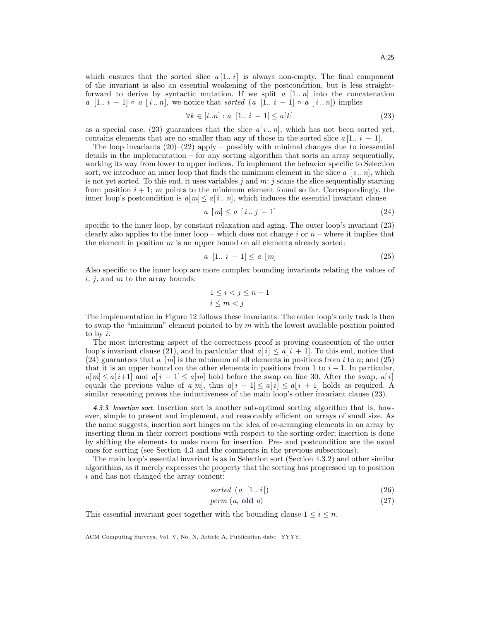which ensures that the sorted slice  $a[1.. i]$  is always non-empty. The final component of the invariant is also an essential weakening of the postcondition, but is less straightforward to derive by syntactic mutation. If we split  $a [1.. n]$  into the concatenation a  $[1.. i - 1] \circ a [i.. n]$ , we notice that sorted  $(a [1.. i - 1] \circ a [i.. n])$  implies

$$
\forall k \in [i..n]: a \ [1.. i - 1] \le a[k] \tag{23}
$$

as a special case. (23) guarantees that the slice  $a[i \dots n]$ , which has not been sorted yet, contains elements that are no smaller than any of those in the sorted slice  $a[1.. i - 1]$ .

The loop invariants  $(20)$ – $(22)$  apply – possibly with minimal changes due to inessential details in the implementation – for any sorting algorithm that sorts an array sequentially, working its way from lower to upper indices. To implement the behavior specific to Selection sort, we introduce an inner loop that finds the minimum element in the slice  $a \mid i..n$ , which is not yet sorted. To this end, it uses variables  $j$  and  $m: j$  scans the slice sequentially starting from position  $i + 1$ ; m points to the minimum element found so far. Correspondingly, the inner loop's postcondition is  $a[m] \leq a[i..n]$ , which induces the essential invariant clause

$$
a \ [m] \le a \ [i \dots j - 1] \tag{24}
$$

specific to the inner loop, by constant relaxation and aging. The outer loop's invariant (23) clearly also applies to the inner loop – which does not change i or  $n$  – where it implies that the element in position  $m$  is an upper bound on all elements already sorted:

$$
a \ [1.. i - 1] \le a \ [m] \tag{25}
$$

Also specific to the inner loop are more complex bounding invariants relating the values of  $i, j, \text{ and } m$  to the array bounds:

$$
1 \le i < j \le n+1
$$
\n
$$
i \le m < j
$$

The implementation in Figure 12 follows these invariants. The outer loop's only task is then to swap the "minimum" element pointed to by  $m$  with the lowest available position pointed to by  $i$ .

The most interesting aspect of the correctness proof is proving consecution of the outer loop's invariant clause (21), and in particular that  $a[i] \leq a[i + 1]$ . To this end, notice that (24) guarantees that a  $[m]$  is the minimum of all elements in positions from i to n; and (25) that it is an upper bound on the other elements in positions from 1 to  $i - 1$ . In particular,  $a[m] \le a[i+1]$  and  $a[i-1] \le a[m]$  hold before the swap on line 30. After the swap,  $a[i]$ equals the previous value of  $a[m]$ , thus  $a[i - 1] \le a[i] \le a[i + 1]$  holds as required. A similar reasoning proves the inductiveness of the main loop's other invariant clause (23).

*4.3.3. Insertion sort.* Insertion sort is another sub-optimal sorting algorithm that is, however, simple to present and implement, and reasonably efficient on arrays of small size. As the name suggests, insertion sort hinges on the idea of re-arranging elements in an array by inserting them in their correct positions with respect to the sorting order; insertion is done by shifting the elements to make room for insertion. Pre- and postcondition are the usual ones for sorting (see Section 4.3 and the comments in the previous subsections).

The main loop's essential invariant is as in Selection sort (Section 4.3.2) and other similar algorithms, as it merely expresses the property that the sorting has progressed up to position i and has not changed the array content:

$$
sorted (a [1.. i]) \t(26)
$$

$$
perm\ (a,\ \mathbf{old}\ \ a)\tag{27}
$$

This essential invariant goes together with the bounding clause  $1 \leq i \leq n$ .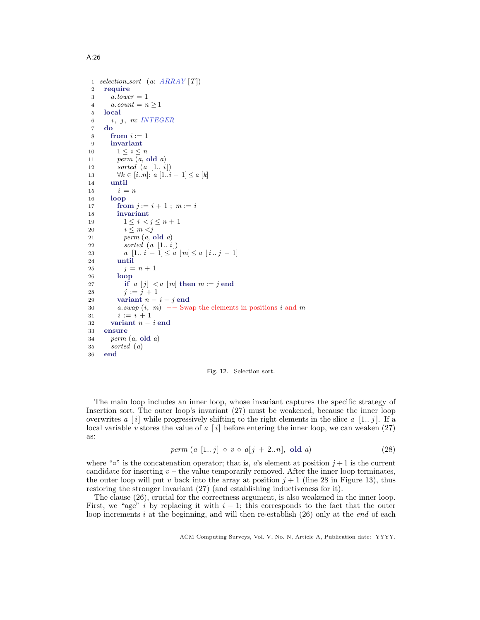```
1 selection_sort (a: ARRAY | T |)2 require
3 \qquad a. lower = 14 a. count = n > 15 local
6 i, j, m: INTEGR7 do
8 from i := 19 invariant
10 1 \leq i \leq n11 perm(a, olda)12 sorted (a [1.. i])13 \forall k \in [i..n] : a [1..i-1] \leq a [k]14 until
15 i = n16 loop
17 from j := i + 1; m := i18 invariant
19 1 \leq i < j \leq n+120 i \leq m \lt j21 perm (a, \text{old } a)22 sorted (a [1.. i])<br>
23 a [1 i - 1] < aa [1.. i - 1] \le a [m] \le a [i.. j - 1]24 until
25 j = n + 126 loop
27 if a [j] < a [m] then m := j end
28 j := j + 129 variant n - i - j end
30 a.swap (i, m) - Swap the elements in positions i and m
31 i := i + 132 variant n - i end<br>33 ensure
    ensure
34 perm (a, \text{old } a)35 sorted (a)
36 end
```
Fig. 12. Selection sort.

The main loop includes an inner loop, whose invariant captures the specific strategy of Insertion sort. The outer loop's invariant (27) must be weakened, because the inner loop overwrites a [i] while progressively shifting to the right elements in the slice a [1.. j]. If a local variable v stores the value of  $a \mid i$  before entering the inner loop, we can weaken (27) as:

$$
perm (a [1..j] \circ v \circ a[j + 2..n], \text{ old } a)
$$
 (28)

where " $\circ$ " is the concatenation operator; that is, a's element at position  $j+1$  is the current candidate for inserting  $v -$  the value temporarily removed. After the inner loop terminates, the outer loop will put v back into the array at position  $j + 1$  (line 28 in Figure 13), thus restoring the stronger invariant (27) (and establishing inductiveness for it).

The clause (26), crucial for the correctness argument, is also weakened in the inner loop. First, we "age" i by replacing it with  $i-1$ ; this corresponds to the fact that the outer loop increments i at the beginning, and will then re-establish  $(26)$  only at the end of each

A:26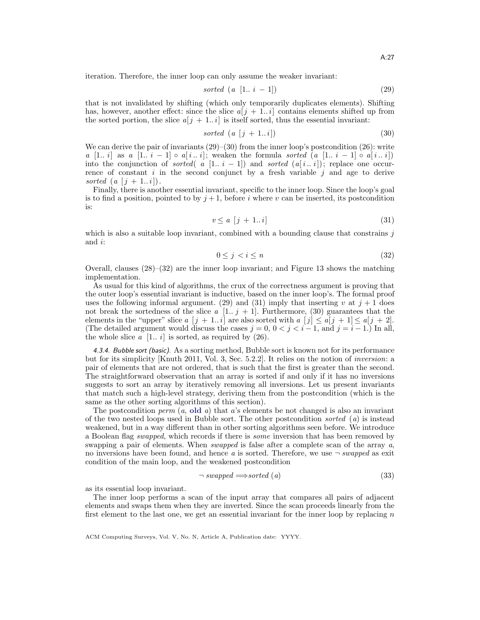iteration. Therefore, the inner loop can only assume the weaker invariant:

$$
sorted (a [1.. i - 1]) \tag{29}
$$

that is not invalidated by shifting (which only temporarily duplicates elements). Shifting has, however, another effect: since the slice  $a[j + 1..i]$  contains elements shifted up from the sorted portion, the slice  $a[j + 1..i]$  is itself sorted, thus the essential invariant:

$$
sorted (a [j + 1..i]) \tag{30}
$$

We can derive the pair of invariants  $(29)$ – $(30)$  from the inner loop's postcondition  $(26)$ : write a [1.. i] as a [1.. i - 1] ∘ a[i.. i]; weaken the formula sorted (a [1.. i - 1] ∘ a[i.. i]) into the conjunction of sorted( a [1.. i - 1]) and sorted (a[i. i]); replace one occurrence of constant  $i$  in the second conjunct by a fresh variable  $j$  and age to derive sorted  $(a [j + 1..i])$ .

Finally, there is another essential invariant, specific to the inner loop. Since the loop's goal is to find a position, pointed to by  $j + 1$ , before i where v can be inserted, its postcondition is:

$$
v \le a \ [j+1..i] \tag{31}
$$

which is also a suitable loop invariant, combined with a bounding clause that constrains  $j$ and i:

$$
0 \le j < i \le n \tag{32}
$$

Overall, clauses  $(28)$ – $(32)$  are the inner loop invariant; and Figure 13 shows the matching implementation.

As usual for this kind of algorithms, the crux of the correctness argument is proving that the outer loop's essential invariant is inductive, based on the inner loop's. The formal proof uses the following informal argument. (29) and (31) imply that inserting v at  $j + 1$  does not break the sortedness of the slice a  $[1.. j + 1]$ . Furthermore, (30) guarantees that the elements in the "upper" slice  $a [j + 1..i]$  are also sorted with  $a [j] \le a[j + 1] \le a[j + 2]$ . (The detailed argument would discuss the cases  $j = 0, 0 < j < i - 1$ , and  $j = i - 1$ .) In all, the whole slice  $a \ [1, i]$  is sorted, as required by (26).

*4.3.4. Bubble sort (basic).* As a sorting method, Bubble sort is known not for its performance but for its simplicity [Knuth 2011, Vol. 3, Sec. 5.2.2]. It relies on the notion of inversion: a pair of elements that are not ordered, that is such that the first is greater than the second. The straightforward observation that an array is sorted if and only if it has no inversions suggests to sort an array by iteratively removing all inversions. Let us present invariants that match such a high-level strategy, deriving them from the postcondition (which is the same as the other sorting algorithms of this section).

The postcondition perm  $(a, old, a)$  that a's elements be not changed is also an invariant of the two nested loops used in Bubble sort. The other postcondition sorted (a) is instead weakened, but in a way different than in other sorting algorithms seen before. We introduce a Boolean flag swapped, which records if there is some inversion that has been removed by swapping a pair of elements. When swapped is false after a complete scan of the array a, no inversions have been found, and hence a is sorted. Therefore, we use  $\neg$  swapped as exit condition of the main loop, and the weakened postcondition

$$
\neg \, swapped \Longrightarrow sorted \ (a) \tag{33}
$$

as its essential loop invariant.

The inner loop performs a scan of the input array that compares all pairs of adjacent elements and swaps them when they are inverted. Since the scan proceeds linearly from the first element to the last one, we get an essential invariant for the inner loop by replacing  $n$ 

ACM Computing Surveys, Vol. V, No. N, Article A, Publication date: YYYY.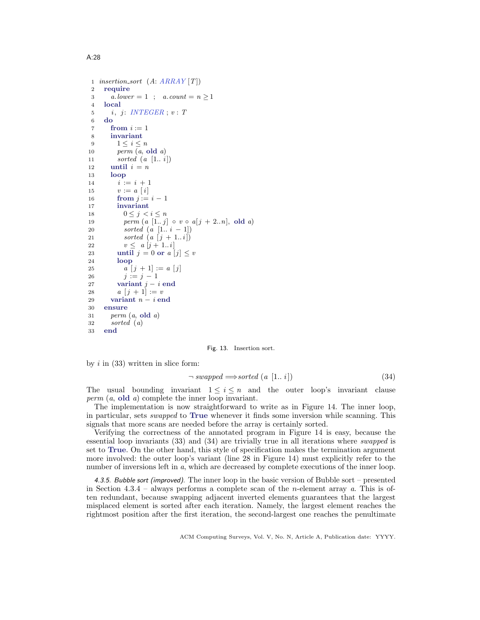```
1 insertion_sort (A:ARRAY | T])2 require
3 a.lower = 1 ; a.count = n > 14 local
5 i, j: INTER: V : T6 do
7 from i := 18 invariant
9 1 \leq i \leq n10 perm(a, olda)11 sorted (a [1.. i])12 until i = n13 loop
14 i := i + 115 v := a [i]16 from j := i - 117 invariant
18 0 \leq j < i \leq n19 perm (a [1.. j] \circ v \circ a[j + 2.. n], \text{ old } a)20 sorted (a [1.. i - 1])21 sorted (a [j + 1..i])22 v \leq a [j+1..i]<br>
23 v \leq a [j+1..i]until j = 0 or a [j] \leq v24 loop
25 a [j + 1] := a [j]26 j := j - 127 variant j - i end
28 a [j + 1] := v29 variant n - i end
30 ensure
31 perm (a, \text{old } a)\begin{array}{cc} 32 & sorted (a) \\ 33 & end \end{array}end
```
#### Fig. 13. Insertion sort.

by  $i$  in (33) written in slice form:

$$
\neg \, swapped \Longrightarrow sorted \ (a \ [1.. i]) \tag{34}
$$

The usual bounding invariant  $1 \leq i \leq n$  and the outer loop's invariant clause *perm*  $(a, \text{old } a)$  complete the inner loop invariant.

The implementation is now straightforward to write as in Figure 14. The inner loop, in particular, sets swapped to True whenever it finds some inversion while scanning. This signals that more scans are needed before the array is certainly sorted.

Verifying the correctness of the annotated program in Figure 14 is easy, because the essential loop invariants (33) and (34) are trivially true in all iterations where swapped is set to True. On the other hand, this style of specification makes the termination argument more involved: the outer loop's variant (line 28 in Figure 14) must explicitly refer to the number of inversions left in a, which are decreased by complete executions of the inner loop.

*4.3.5. Bubble sort (improved).* The inner loop in the basic version of Bubble sort – presented in Section 4.3.4 – always performs a complete scan of the *n*-element array a. This is often redundant, because swapping adjacent inverted elements guarantees that the largest misplaced element is sorted after each iteration. Namely, the largest element reaches the rightmost position after the first iteration, the second-largest one reaches the penultimate

A:28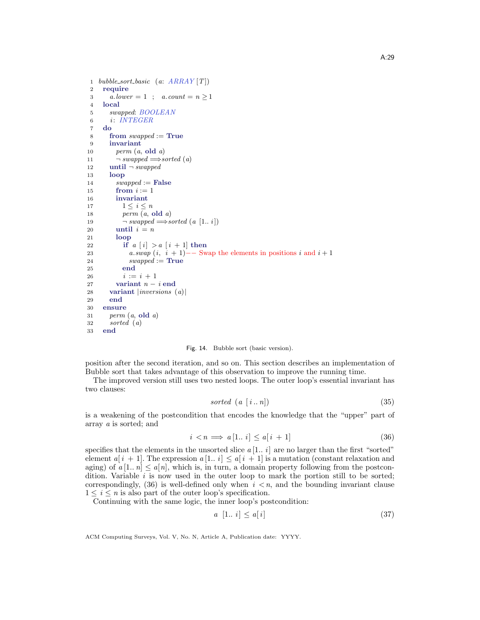```
1 bubble_sort_basic (a: ARRAY[T])
2 require
3 a. lower = 1 ; a. count = n \ge 14 local
5 swapped: BOOLEAN
6 i : INTEGER
7 do
8 from swapped := True
9 invariant
10 perm(a, olda)11 \rightarrow swapped \Longrightarrow sorted (a)<br>12 until \rightarrow swapped
      until \neg swapped
13 loop
14 swapped := False15 from i := 116 invariant
17 1 \leq i \leq n18 perm (a, \text{old } a)19 \rightarrow swapped \Longrightarrow sorted (a [1.. i])
20 until i = n21 loop
22 if a[i] > a[i+1] then<br>
23 a \text{ sum } (i, i+1) = S_{\text{W}}a.swap (i, i + 1) – Swap the elements in positions i and i + 124 swapped := True25 end
26 i := i + 127 variant n - i end
28 variant |inversions (a)|
29 end
30 ensure
31 perm (a, old a)
\begin{array}{cc} 32 & sorted (a) \\ 33 & end \end{array}end
```
Fig. 14. Bubble sort (basic version).

position after the second iteration, and so on. This section describes an implementation of Bubble sort that takes advantage of this observation to improve the running time.

The improved version still uses two nested loops. The outer loop's essential invariant has two clauses:

$$
sorted\ (a\ [i..n])\tag{35}
$$

is a weakening of the postcondition that encodes the knowledge that the "upper" part of array a is sorted; and

$$
i < n \implies a[1.. i] \le a[i+1] \tag{36}
$$

specifies that the elements in the unsorted slice  $a[1.. i]$  are no larger than the first "sorted" element  $a[i + 1]$ . The expression  $a[1, i] \leq a[i + 1]$  is a mutation (constant relaxation and aging) of  $a[1.. n] \le a[n]$ , which is, in turn, a domain property following from the postcondition. Variable  $i$  is now used in the outer loop to mark the portion still to be sorted; correspondingly, (36) is well-defined only when  $i < n$ , and the bounding invariant clause  $1 \leq i \leq n$  is also part of the outer loop's specification.

Continuing with the same logic, the inner loop's postcondition:

$$
a \ [1.. i] \leq a[i] \tag{37}
$$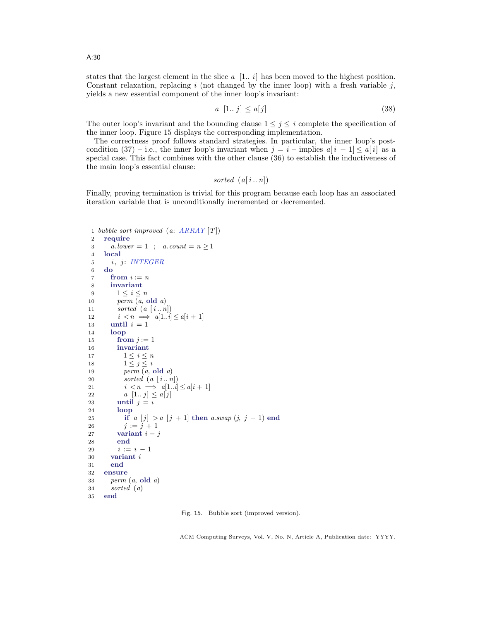states that the largest element in the slice  $a \left[1, i\right]$  has been moved to the highest position. Constant relaxation, replacing i (not changed by the inner loop) with a fresh variable  $j$ , yields a new essential component of the inner loop's invariant:

$$
a \ [1.. j] \le a[j] \tag{38}
$$

The outer loop's invariant and the bounding clause  $1 \leq j \leq i$  complete the specification of the inner loop. Figure 15 displays the corresponding implementation.

The correctness proof follows standard strategies. In particular, the inner loop's postcondition (37) – i.e., the inner loop's invariant when  $j = i$  – implies  $a[i - 1] \le a[i]$  as a special case. This fact combines with the other clause (36) to establish the inductiveness of the main loop's essential clause:

$$
sorted\ (a[i.. n])
$$

Finally, proving termination is trivial for this program because each loop has an associated iteration variable that is unconditionally incremented or decremented.

```
1 bubble_sort_improved (a: ARRAY[T])2 require
3 a. lower = 1 ; a. count = n \ge 14 local
i, j: INTEGR6 do
7 from i := n8 invariant
9 1 \leq i \leq n10 perm (a, old a)
\hspace{2cm} sorted \hspace{2cm} (a \hspace{2cm} [\hspace{1mm} i \hspace{1mm} ... \hspace{1mm} n])12 i < n \implies a[1..i] \le a[i+1]13 until i = 114 loop
15 from j := 116 invariant
17 1 \leq i \leq n18 1 \leq j \leq i19 perm (a, old a)
20 sorted (a \mid i.. n])21 i < n \implies a[1..i] \le a[i+1]22 a [1.. j] \leq a[j]23 until j = i24 loop
25 if a [j] > a [j + 1] then a.swap (j, j + 1) end
26 j := j + 127 variant i - j28 end
29 i := i - 130 variant i
31 end
32 ensure
33 perm (a, old a)
34 sorted (a)
35 end
```
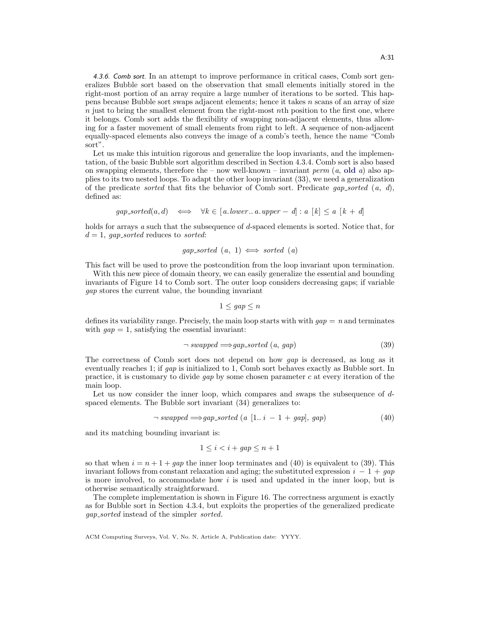*4.3.6. Comb sort.* In an attempt to improve performance in critical cases, Comb sort generalizes Bubble sort based on the observation that small elements initially stored in the right-most portion of an array require a large number of iterations to be sorted. This happens because Bubble sort swaps adjacent elements; hence it takes n scans of an array of size  $n$  just to bring the smallest element from the right-most  $n$ th position to the first one, where it belongs. Comb sort adds the flexibility of swapping non-adjacent elements, thus allowing for a faster movement of small elements from right to left. A sequence of non-adjacent equally-spaced elements also conveys the image of a comb's teeth, hence the name "Comb sort".

Let us make this intuition rigorous and generalize the loop invariants, and the implementation, of the basic Bubble sort algorithm described in Section 4.3.4. Comb sort is also based on swapping elements, therefore the – now well-known – invariant perm  $(a, \text{old } a)$  also applies to its two nested loops. To adapt the other loop invariant (33), we need a generalization of the predicate *sorted* that fits the behavior of Comb sort. Predicate gap-sorted  $(a, d)$ , defined as:

$$
gap_{\mathit{sorted}}(a, d) \iff \forall k \in [a_{\mathit{lower} \ldots a_{\mathit{upper}} - d] : a [k] \leq a [k + d]
$$

holds for arrays a such that the subsequence of d-spaced elements is sorted. Notice that, for  $d = 1$ , gap sorted reduces to sorted:

$$
gap_{-sorted} (a, 1) \iff sorted (a)
$$

This fact will be used to prove the postcondition from the loop invariant upon termination.

With this new piece of domain theory, we can easily generalize the essential and bounding invariants of Figure 14 to Comb sort. The outer loop considers decreasing gaps; if variable gap stores the current value, the bounding invariant

$$
1 \leq gap \leq n
$$

defines its variability range. Precisely, the main loop starts with with  $gap = n$  and terminates with  $gap = 1$ , satisfying the essential invariant:

$$
\neg \, swapped \Longrightarrow gap.sorted \, (a, \, gap) \tag{39}
$$

The correctness of Comb sort does not depend on how gap is decreased, as long as it eventually reaches 1; if gap is initialized to 1, Comb sort behaves exactly as Bubble sort. In practice, it is customary to divide gap by some chosen parameter  $c$  at every iteration of the main loop.

Let us now consider the inner loop, which compares and swaps the subsequence of dspaced elements. The Bubble sort invariant (34) generalizes to:

$$
\neg \, swapped \Longrightarrow gap.sorted \ (a \ [1.. i - 1 + gap], \, gap) \tag{40}
$$

and its matching bounding invariant is:

$$
1 \le i < i + gap \le n + 1
$$

so that when  $i = n + 1 + gap$  the inner loop terminates and (40) is equivalent to (39). This invariant follows from constant relaxation and aging; the substituted expression  $i - 1 + gap$ is more involved, to accommodate how  $i$  is used and updated in the inner loop, but is otherwise semantically straightforward.

The complete implementation is shown in Figure 16. The correctness argument is exactly as for Bubble sort in Section 4.3.4, but exploits the properties of the generalized predicate gap sorted instead of the simpler sorted.

ACM Computing Surveys, Vol. V, No. N, Article A, Publication date: YYYY.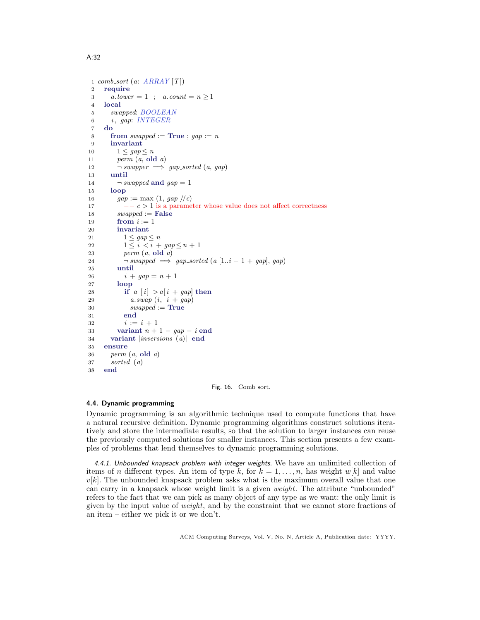```
A:32
```

```
1 comb_sort (a: ARRAY[T])
2 require
3 a.lower = 1 ; a.count = n > 14 local
5 swapped: BOOLEAN
6 i , gap: INTEGER
7 do
8 from swapped := True ; gap := n9 invariant
10 1 \leq gap \leq n11 perm(a, olda)12 \rightarrow swapper \implies gap_sorted (a, gap)
13 until
14 \rightarrow swapped and gap = 115 loop
16 gap := \max (1, gap / c)17 - -c > 1 is a parameter whose value does not affect correctness
18 swapped := False19 from i := 120 invariant
21 1 \leq gap \leq n22 1 \leq i \leq i + gap \leq n+1<br>
23 nerm (a, old, a)perm(a, olda)24 \rightarrow swapped \rightarrow gap_sorted (a [1..i – 1 + gap], gap)
25 until
26 i + gap = n + 127 loop
28 if a[i] > a[i + gap] then
29 a.swap(i, i + qap)30 swapped := True31 end
32 i := i + 1<br>33 variant n +variant n + 1 - qap - i end
34 variant |inversions (a)| end
35 ensure
36 perm (a, old a)
37 sorted (a)
38 end
```
Fig. 16. Comb sort.

# 4.4. Dynamic programming

Dynamic programming is an algorithmic technique used to compute functions that have a natural recursive definition. Dynamic programming algorithms construct solutions iteratively and store the intermediate results, so that the solution to larger instances can reuse the previously computed solutions for smaller instances. This section presents a few examples of problems that lend themselves to dynamic programming solutions.

*4.4.1. Unbounded knapsack problem with integer weights.* We have an unlimited collection of items of n different types. An item of type k, for  $k = 1, \ldots, n$ , has weight  $w[k]$  and value  $v[k]$ . The unbounded knapsack problem asks what is the maximum overall value that one can carry in a knapsack whose weight limit is a given *weight*. The attribute "unbounded" refers to the fact that we can pick as many object of any type as we want: the only limit is given by the input value of weight, and by the constraint that we cannot store fractions of an item – either we pick it or we don't.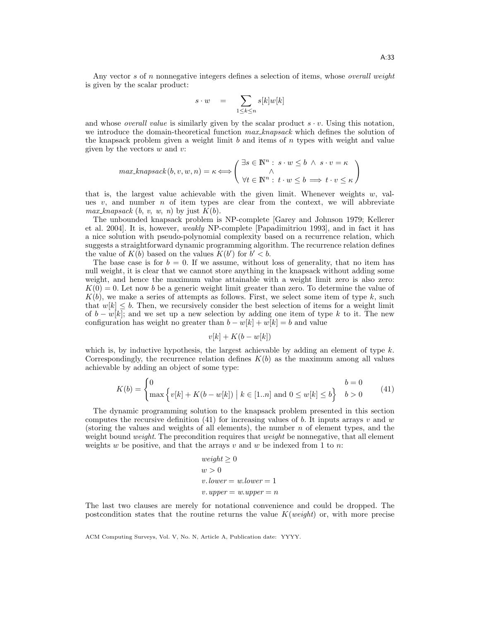Any vector s of n nonnegative integers defines a selection of items, whose *overall weight* is given by the scalar product:

$$
s \cdot w = \sum_{1 \le k \le n} s[k]w[k]
$$

and whose *overall value* is similarly given by the scalar product  $s \cdot v$ . Using this notation, we introduce the domain-theoretical function  $max_k$  knapsack which defines the solution of the knapsack problem given a weight limit  $b$  and items of  $n$  types with weight and value given by the vectors  $w$  and  $v$ :

$$
max_{\mathcal{N}} \leq k \leq k \quad (b, v, w, n) = \kappa \Longleftrightarrow \begin{pmatrix} \exists s \in \mathbb{N}^n : s \cdot w \leq b \land s \cdot v = \kappa \\ \land \\ \forall t \in \mathbb{N}^n : t \cdot w \leq b \implies t \cdot v \leq \kappa \end{pmatrix}
$$

that is, the largest value achievable with the given limit. Whenever weights  $w$ , values  $v$ , and number  $n$  of item types are clear from the context, we will abbreviate max-knapsack  $(b, v, w, n)$  by just  $K(b)$ .

The unbounded knapsack problem is NP-complete [Garey and Johnson 1979; Kellerer et al. 2004]. It is, however, weakly NP-complete [Papadimitriou 1993], and in fact it has a nice solution with pseudo-polynomial complexity based on a recurrence relation, which suggests a straightforward dynamic programming algorithm. The recurrence relation defines the value of  $K(b)$  based on the values  $K(b')$  for  $b' < b$ .

The base case is for  $b = 0$ . If we assume, without loss of generality, that no item has null weight, it is clear that we cannot store anything in the knapsack without adding some weight, and hence the maximum value attainable with a weight limit zero is also zero:  $K(0) = 0$ . Let now b be a generic weight limit greater than zero. To determine the value of  $K(b)$ , we make a series of attempts as follows. First, we select some item of type k, such that  $w[k] \leq b$ . Then, we recursively consider the best selection of items for a weight limit of  $b - w[k]$ ; and we set up a new selection by adding one item of type k to it. The new configuration has weight no greater than  $b - w[k] + w[k] = b$  and value

$$
v[k] + K(b - w[k])
$$

which is, by inductive hypothesis, the largest achievable by adding an element of type  $k$ . Correspondingly, the recurrence relation defines  $K(b)$  as the maximum among all values achievable by adding an object of some type:

$$
K(b) = \begin{cases} 0 & b = 0\\ \max \left\{ v[k] + K(b - w[k]) \mid k \in [1..n] \text{ and } 0 \le w[k] \le b \right\} & b > 0 \end{cases}
$$
(41)

The dynamic programming solution to the knapsack problem presented in this section computes the recursive definition (41) for increasing values of b. It inputs arrays v and w (storing the values and weights of all elements), the number  $n$  of element types, and the weight bound *weight*. The precondition requires that *weight* be nonnegative, that all element weights w be positive, and that the arrays v and w be indexed from 1 to n:

$$
weight \ge 0
$$
  

$$
w > 0
$$
  

$$
v.lower = w.lower = 1
$$
  

$$
vupper = wupper = n
$$

The last two clauses are merely for notational convenience and could be dropped. The postcondition states that the routine returns the value  $K(weight)$  or, with more precise

ACM Computing Surveys, Vol. V, No. N, Article A, Publication date: YYYY.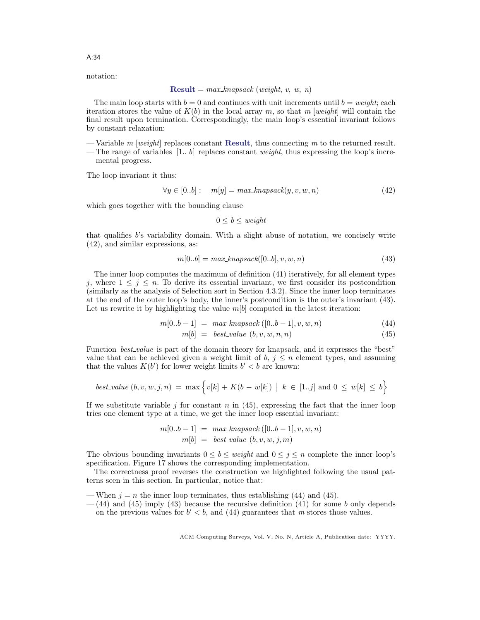notation:

### $Result = max_k napsack (weight, v, w, n)$

The main loop starts with  $b = 0$  and continues with unit increments until  $b = weight$ ; each iteration stores the value of  $K(b)$  in the local array m, so that m [weight] will contain the final result upon termination. Correspondingly, the main loop's essential invariant follows by constant relaxation:

— Variable m [weight] replaces constant Result, thus connecting m to the returned result. — The range of variables  $[1.. b]$  replaces constant *weight*, thus expressing the loop's incremental progress.

The loop invariant it thus:

$$
\forall y \in [0..b]: \quad m[y] = max_k napsack(y, v, w, n) \tag{42}
$$

which goes together with the bounding clause

 $0 \leq b \leq weight$ 

that qualifies  $b$ 's variability domain. With a slight abuse of notation, we concisely write (42), and similar expressions, as:

$$
m[0..b] = max_k napsack([0..b], v, w, n)
$$
\n
$$
(43)
$$

The inner loop computes the maximum of definition (41) iteratively, for all element types j, where  $1 \leq j \leq n$ . To derive its essential invariant, we first consider its postcondition (similarly as the analysis of Selection sort in Section 4.3.2). Since the inner loop terminates at the end of the outer loop's body, the inner's postcondition is the outer's invariant (43). Let us rewrite it by highlighting the value  $m[b]$  computed in the latest iteration:

$$
m[0..b-1] = max_k napsack ([0..b-1], v, w, n)
$$
\n(44)

$$
m[b] = best_value (b, v, w, n, n) \tag{45}
$$

Function *best value* is part of the domain theory for knapsack, and it expresses the "best" value that can be achieved given a weight limit of b,  $j \leq n$  element types, and assuming that the values  $K(b')$  for lower weight limits  $b' < b$  are known:

$$
best_value (b, v, w, j, n) = \max \Big\{ v[k] + K(b - w[k]) \Big| k \in [1..j] \text{ and } 0 \le w[k] \le b \Big\}
$$

If we substitute variable j for constant n in  $(45)$ , expressing the fact that the inner loop tries one element type at a time, we get the inner loop essential invariant:

$$
m[0..b-1] = max\_knapsack([0..b-1], v, w, n)
$$

$$
m[b] = best\_value(b, v, w, j, m)
$$

The obvious bounding invariants  $0 \leq b \leq weight$  and  $0 \leq j \leq n$  complete the inner loop's specification. Figure 17 shows the corresponding implementation.

The correctness proof reverses the construction we highlighted following the usual patterns seen in this section. In particular, notice that:

— When  $j = n$  the inner loop terminates, thus establishing (44) and (45).

 $-$  (44) and (45) imply (43) because the recursive definition (41) for some b only depends on the previous values for  $b' < b$ , and (44) guarantees that m stores those values.

ACM Computing Surveys, Vol. V, No. N, Article A, Publication date: YYYY.

A:34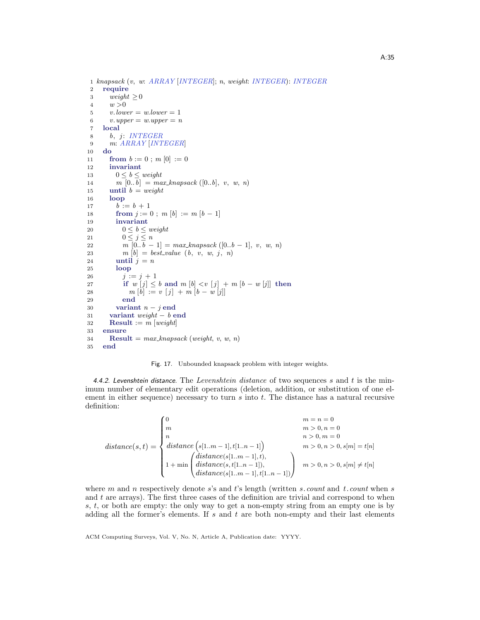```
1 knapsack (v, w: ARRAY [INTEGER]; n, weight: INTEGER): INTEGER
2 require
3 weight > 04 w > 05 v. lower = w. lower = 16 v. upper = w. upper = n7 local
8 b, j: INTEGER
9 m: ARRAY [INTEGER]
10 do
11 from b := 0; m [0] := 0<br>12 invariant
      invariant
13 0 \leq b \leq weight14 m [0..b] = max_k napsack ([0..b], v, w, n)15 until b = weight<br>16 loop
      16 loop
17 b := b + 118 from j := 0; m [b] := m [b - 1]19 invariant
20 0 \leq b \leq weight21 0 \leq j \leq n22 m [0..b − 1] = max_knapsack ([0..b − 1], v, w, n)<br>23 m [b] = best value (b, y, w, i, n)
          m [b] = best_value (b, v, w, j, n)24 until j = n25 loop
26 j := j + 127 \qquad \qquad \text{if} \;\; w\; [j] \leq b \;\text{and} \; m\; [b] <\!\! v\; [j] \; + \, m\; [b-\,w\; [j]] \;\; \text{then}28 m [b] := v [j] + m [b - w [j]]29 end
30 variant n - j end
31 variant weight - b end
32 Result := m [weight]<br>33 ensure
    ensure
34 Result = max_knapsack (weight, v, w, n)
35 end
```


*4.4.2. Levenshtein distance.* The Levenshtein distance of two sequences s and t is the minimum number of elementary edit operations (deletion, addition, or substitution of one element in either sequence) necessary to turn  $s$  into  $t$ . The distance has a natural recursive definition:

$$
distance(s,t) = \begin{cases} 0 & m = n = 0 \\ m & m > 0, n = 0 \\ n & n > 0, m = 0 \\ \text{distance}(s[1..m-1], t[1..n-1]) & m > 0, n > 0, s[m] = t[n] \\ 1 + \min\begin{pmatrix} \text{distance}(s[1..m-1], t), \\ \text{distance}(s[1..m-1], t), \\ \text{distance}(s[1..m-1], t[1..n-1]) \end{pmatrix} & m > 0, n > 0, s[m] \neq t[n] \end{cases}
$$

where  $m$  and  $n$  respectively denote s's and t's length (written s. count and t. count when s and  $t$  are arrays). The first three cases of the definition are trivial and correspond to when s, t, or both are empty: the only way to get a non-empty string from an empty one is by adding all the former's elements. If  $s$  and  $t$  are both non-empty and their last elements

ACM Computing Surveys, Vol. V, No. N, Article A, Publication date: YYYY.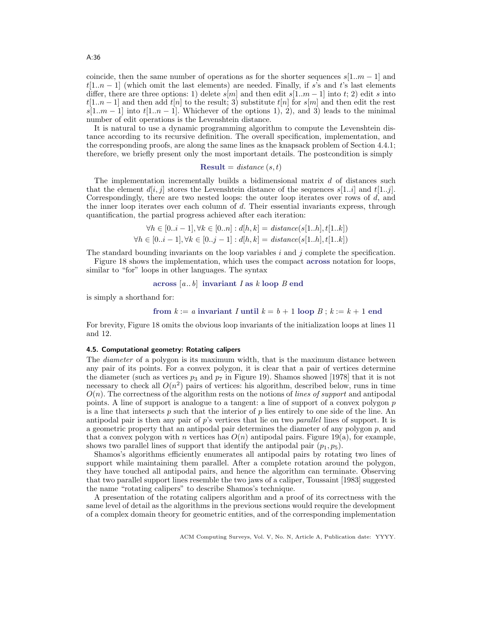coincide, then the same number of operations as for the shorter sequences  $s[1..m-1]$  and  $t[1..n-1]$  (which omit the last elements) are needed. Finally, if s's and t's last elements differ, there are three options: 1) delete  $s[m]$  and then edit  $s[1..m-1]$  into t; 2) edit s into  $t[1..n-1]$  and then add  $t[n]$  to the result; 3) substitute  $t[n]$  for  $s[m]$  and then edit the rest  $s[1..m-1]$  into  $t[1..n-1]$ . Whichever of the options 1), 2), and 3) leads to the minimal number of edit operations is the Levenshtein distance.

It is natural to use a dynamic programming algorithm to compute the Levenshtein distance according to its recursive definition. The overall specification, implementation, and the corresponding proofs, are along the same lines as the knapsack problem of Section 4.4.1; therefore, we briefly present only the most important details. The postcondition is simply

$$
Result = distance(s, t)
$$

The implementation incrementally builds a bidimensional matrix  $d$  of distances such that the element  $d[i, j]$  stores the Levenshtein distance of the sequences  $s[1..i]$  and  $t[1..j]$ . Correspondingly, there are two nested loops: the outer loop iterates over rows of  $d$ , and the inner loop iterates over each column of d. Their essential invariants express, through quantification, the partial progress achieved after each iteration:

$$
\forall h \in [0..i-1], \forall k \in [0..n] : d[h,k] = distance(s[1..h], t[1..k])
$$
  

$$
\forall h \in [0..i-1], \forall k \in [0..j-1] : d[h,k] = distance(s[1..h], t[1..k])
$$

The standard bounding invariants on the loop variables  $i$  and  $j$  complete the specification.

Figure 18 shows the implementation, which uses the compact across notation for loops, similar to "for" loops in other languages. The syntax

across  $[a.. b]$  invariant I as k loop B end

is simply a shorthand for:

from 
$$
k := a
$$
 invariant I until  $k = b + 1$  loop  $B$ ;  $k := k + 1$  end

For brevity, Figure 18 omits the obvious loop invariants of the initialization loops at lines 11 and 12.

## 4.5. Computational geometry: Rotating calipers

The *diameter* of a polygon is its maximum width, that is the maximum distance between any pair of its points. For a convex polygon, it is clear that a pair of vertices determine the diameter (such as vertices  $p_3$  and  $p_7$  in Figure 19). Shamos showed [1978] that it is not necessary to check all  $O(n^2)$  pairs of vertices: his algorithm, described below, runs in time  $O(n)$ . The correctness of the algorithm rests on the notions of lines of support and antipodal points. A line of support is analogue to a tangent: a line of support of a convex polygon  $p$ is a line that intersects  $p$  such that the interior of  $p$  lies entirely to one side of the line. An antipodal pair is then any pair of  $p$ 's vertices that lie on two *parallel* lines of support. It is a geometric property that an antipodal pair determines the diameter of any polygon  $p$ , and that a convex polygon with n vertices has  $O(n)$  antipodal pairs. Figure 19(a), for example, shows two parallel lines of support that identify the antipodal pair  $(p_1, p_5)$ .

Shamos's algorithms efficiently enumerates all antipodal pairs by rotating two lines of support while maintaining them parallel. After a complete rotation around the polygon, they have touched all antipodal pairs, and hence the algorithm can terminate. Observing that two parallel support lines resemble the two jaws of a caliper, Toussaint [1983] suggested the name "rotating calipers" to describe Shamos's technique.

A presentation of the rotating calipers algorithm and a proof of its correctness with the same level of detail as the algorithms in the previous sections would require the development of a complex domain theory for geometric entities, and of the corresponding implementation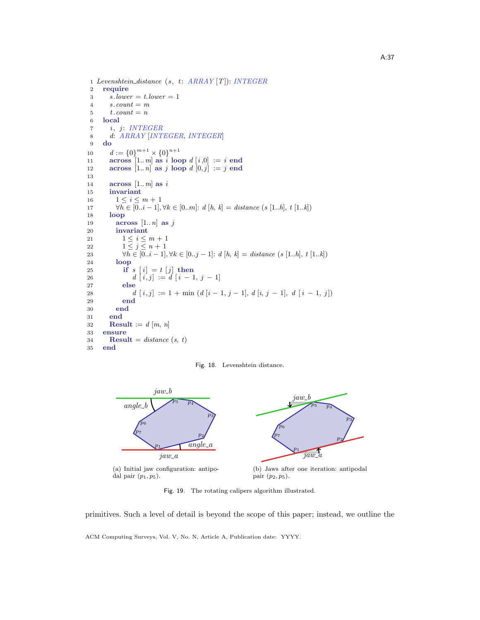```
1 Levenshtein_distance (s, t: ARRAY [T]): INTEGER
2 require
3 s. lower = t. lower = 14 s. count = m5 t. count = n6 local
i, j: INTEGR8 d: ARRAY [INTEGER, INTEGER]
9 do
10 d := \{0\}^{m+1} \times \{0\}^{n+1}11 across [1..m] as i loop d[i,0] := i end
12 across [1..n] as j loop d [0,j] := j end
14 across [1..m] as i
15 invariant
16 1 \leq i \leq m+117 \forall h \in [0..i-1], \forall k \in [0..m] : d \mid h, k] = distance (s \mid 1..h], t \mid 1..k]18 loop
19 across [1..n] as j
20 invariant
21 1 \leq i \leq m+1<br>
22 1 \leq j \leq n+11 \leq j \leq n+123 \forall h \in [0..i-1], \forall k \in [0..j-1]: d[h, k] = distance (s [1..h], t [1..k])24 loop
25 if s[i] = t[j] then
26 d[i,j] := d[i-1,j-1]27 else
28 d [i, j] := 1 + \min (d [i - 1, j - 1], d [i, j - 1], d [i - 1, j])29 end
30 end
31 end
```
13

33 ensure

35 end

```
32 Result := d \mid m, n34 Result = distance (s, t)
```
Fig. 18. Levenshtein distance.



Fig. 19. The rotating calipers algorithm illustrated.

primitives. Such a level of detail is beyond the scope of this paper; instead, we outline the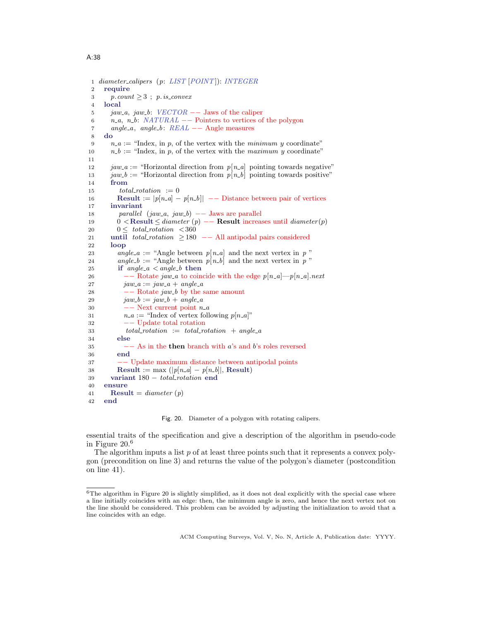```
A:38
```

```
1 diameter calipers (p: LIST [POINT ]): INTEGER
2 require
3 p.count \geq 3; p.is_convex
4 local
5 jaw a, jaw b: VECTOR −− Jaws of the caliper
6 n a, n b: NATURAL −− Pointers to vertices of the polygon
7 angle_a, angle_b: REAL -- Angle measures
8 do
9 n_a := "Index, in p, of the vertex with the <i>minimum y coordinate</i>"10 n_b := "Index, in p, of the vertex with the maximum y coordinate"
11
12 jaw a := "Horizontal direction from p[n_a] pointing towards negative"
13 jaw b := "Horizontal direction from p[n_b] pointing towards positive"
14 from
15 total\_rotation := 016 Result := |p[n_a] - p[n_b]| -- Distance between pair of vertices
17 invariant
18 parallel (jaw_a, jaw_b) −− Jaws are parallel
19 0 <Result \leq diameter (p) -- Result increases until diameter (p)
20 0 \leq total\_rotation \leq 36021 until total rotation ≥ 180 −− All antipodal pairs considered
22 loop
23 angle a := "Angle between p[n_a] and the next vertex in p"
24 angle b := "Angle between p[n_b] and the next vertex in p"
25 if angle_a < angle_b then
26 −− Rotate jaw_a to coincide with the edge p[n_a]-p[n_a].next
27 jaw_a := jaw_a + angle_a28 −− Rotate jaw_b by the same amount
29 jaw_b := jaw_b + angle_a30 - Next current point n_a31 n_a := \text{``Index of vertex following } p[n_a]"
32 −− Update total rotation<br>33 total_rotation := total_ro
          total\_rotation := total\_rotation + angle_a34 else
35 - As in the then branch with a's and b's roles reversed
36 end
37 −− Update maximum distance between antipodal points
38 Result := max (|p[n_a] - p[n_b]|, Result)
39 variant 180 − total rotation end
40 ensure
41 Result = diameter (p)42 end
```
Fig. 20. Diameter of a polygon with rotating calipers.

essential traits of the specification and give a description of the algorithm in pseudo-code in Figure 20.<sup>6</sup>

The algorithm inputs a list  $p$  of at least three points such that it represents a convex polygon (precondition on line 3) and returns the value of the polygon's diameter (postcondition on line 41).

 $6$ The algorithm in Figure 20 is slightly simplified, as it does not deal explicitly with the special case where a line initially coincides with an edge: then, the minimum angle is zero, and hence the next vertex not on the line should be considered. This problem can be avoided by adjusting the initialization to avoid that a line coincides with an edge.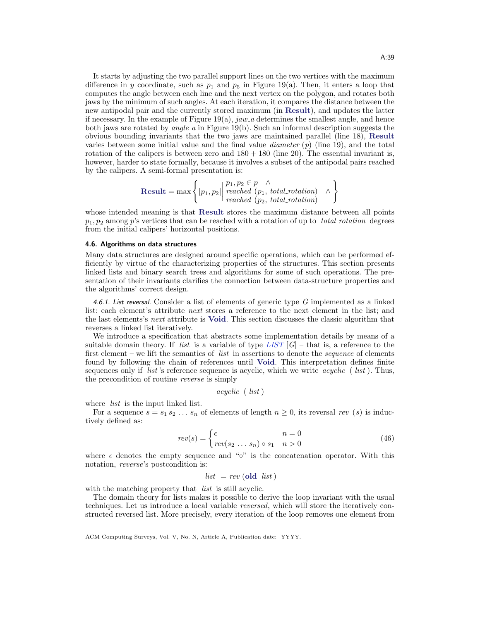It starts by adjusting the two parallel support lines on the two vertices with the maximum difference in y coordinate, such as  $p_1$  and  $p_5$  in Figure 19(a). Then, it enters a loop that computes the angle between each line and the next vertex on the polygon, and rotates both jaws by the minimum of such angles. At each iteration, it compares the distance between the new antipodal pair and the currently stored maximum (in Result), and updates the latter if necessary. In the example of Figure  $19(a)$ , jaw a determines the smallest angle, and hence both jaws are rotated by  $angle_a$  in Figure 19(b). Such an informal description suggests the obvious bounding invariants that the two jaws are maintained parallel (line 18), Result varies between some initial value and the final value *diameter*  $(p)$  (line 19), and the total rotation of the calipers is between zero and  $180 + 180$  (line 20). The essential invariant is, however, harder to state formally, because it involves a subset of the antipodal pairs reached by the calipers. A semi-formal presentation is:

Result = max 
$$
\left\{ |p_1, p_2| \middle| \begin{array}{l} p_1, p_2 \in p \land \\ reached (p_1, total\_rotation) \end{array} \land \right\}
$$
  
reached  $(p_2, total\_rotation)$ 

whose intended meaning is that Result stores the maximum distance between all points  $p_1, p_2$  among p's vertices that can be reached with a rotation of up to *total\_rotation* degrees from the initial calipers' horizontal positions.

## 4.6. Algorithms on data structures

Many data structures are designed around specific operations, which can be performed efficiently by virtue of the characterizing properties of the structures. This section presents linked lists and binary search trees and algorithms for some of such operations. The presentation of their invariants clarifies the connection between data-structure properties and the algorithms' correct design.

*4.6.1. List reversal.* Consider a list of elements of generic type G implemented as a linked list: each element's attribute *next* stores a reference to the next element in the list; and the last elements's *next* attribute is **Void**. This section discusses the classic algorithm that reverses a linked list iteratively.

We introduce a specification that abstracts some implementation details by means of a suitable domain theory. If *list* is a variable of type  $LIST [G]$  – that is, a reference to the first element – we lift the semantics of *list* in assertions to denote the *sequence* of elements found by following the chain of references until Void. This interpretation defines finite sequences only if *list* 's reference sequence is acyclic, which we write  $acyclic$  (*list*). Thus, the precondition of routine reverse is simply

$$
acyclic\ (list)
$$

where *list* is the input linked list.

For a sequence  $s = s_1 s_2 \ldots s_n$  of elements of length  $n \geq 0$ , its reversal rev (s) is inductively defined as:

$$
rev(s) = \begin{cases} \epsilon & n = 0\\ rev(s_2 \dots s_n) \circ s_1 & n > 0 \end{cases}
$$
 (46)

where  $\epsilon$  denotes the empty sequence and " $\circ$ " is the concatenation operator. With this notation, reverse's postcondition is:

$$
list = rev (old list)
$$

with the matching property that *list* is still acyclic.

The domain theory for lists makes it possible to derive the loop invariant with the usual techniques. Let us introduce a local variable reversed, which will store the iteratively constructed reversed list. More precisely, every iteration of the loop removes one element from

ACM Computing Surveys, Vol. V, No. N, Article A, Publication date: YYYY.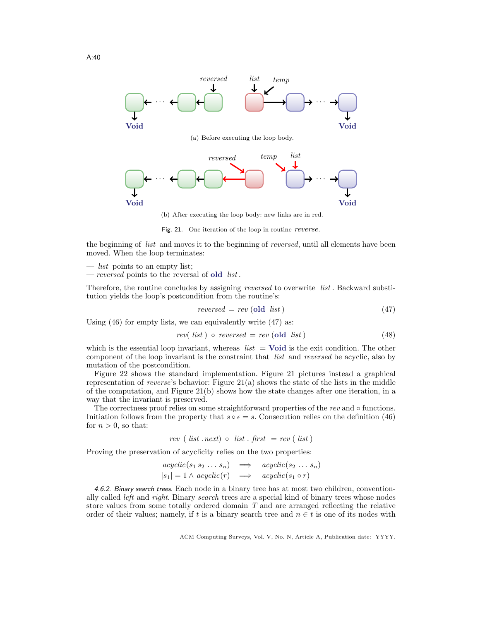

Fig. 21. One iteration of the loop in routine reverse.

the beginning of *list* and moves it to the beginning of *reversed*, until all elements have been moved. When the loop terminates:

— *list* points to an empty list;

 $-$  reversed points to the reversal of old *list*.

Therefore, the routine concludes by assigning *reversed* to overwrite *list*. Backward substitution yields the loop's postcondition from the routine's:

$$
reversed = rev (old list) \tag{47}
$$

Using  $(46)$  for empty lists, we can equivalently write  $(47)$  as:

$$
rev(\text{list}) \circ \text{reversed} = rev(\text{old } \text{list}) \tag{48}
$$

which is the essential loop invariant, whereas  $list =$  Void is the exit condition. The other component of the loop invariant is the constraint that *list* and *reversed* be acyclic, also by mutation of the postcondition.

Figure 22 shows the standard implementation. Figure 21 pictures instead a graphical representation of reverse's behavior: Figure  $21(a)$  shows the state of the lists in the middle of the computation, and Figure 21(b) shows how the state changes after one iteration, in a way that the invariant is preserved.

The correctness proof relies on some straightforward properties of the  $rev$  and  $\circ$  functions. Initiation follows from the property that  $s \circ \epsilon = s$ . Consecution relies on the definition (46) for  $n > 0$ , so that:

$$
rev \text{ (list } .\text{ next)} \circ \text{ list } .\text{ first } = rev \text{ ( list)}
$$

Proving the preservation of acyclicity relies on the two properties:

| $acyclic(s_1 s_2 \ldots s_n)$ | $\implies$ | $acyclic(s_2 \ldots s_n)$             |
|-------------------------------|------------|---------------------------------------|
| $ s_1 =1 \wedge acyclic(r)$   |            | $\implies \quad acyclic(s_1 \circ r)$ |

*4.6.2. Binary search trees.* Each node in a binary tree has at most two children, conventionally called *left* and *right*. Binary *search* trees are a special kind of binary trees whose nodes store values from some totally ordered domain T and are arranged reflecting the relative order of their values; namely, if t is a binary search tree and  $n \in t$  is one of its nodes with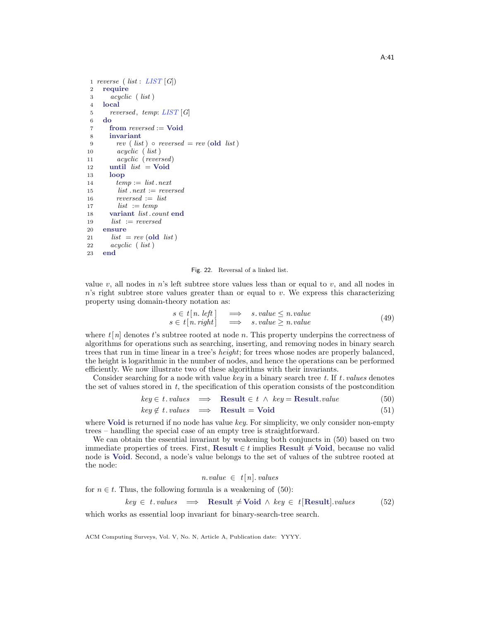```
1 reverse ( list : LIST[G])
2 require
3 acyclic ( list )
4 local
5 reversed, temp: LIST [G]
6 do
7 from reversed := Void
8 invariant
9 rev ( list ) \circ reversed = rev (old list)
10 acyclic (list)
11 acyclic (reversed)
12 until list = Void
13 loop
14 temp := list.next15 list.next := reversed16 reversed := list17 list := temp18 variant list.count end
19 list := reversed20 ensure
21 list = rev (old list)
22 acyclic ( list )<br>23 end
    end
```
Fig. 22. Reversal of a linked list.

value  $v$ , all nodes in n's left subtree store values less than or equal to  $v$ , and all nodes in  $n$ 's right subtree store values greater than or equal to  $v$ . We express this characterizing property using domain-theory notation as:

$$
s \in t[n. left] \implies s.value \le n.values \in t[n. right] \implies s.value \ge n.value
$$
\n(49)

where  $t[n]$  denotes t's subtree rooted at node n. This property underpins the correctness of algorithms for operations such as searching, inserting, and removing nodes in binary search trees that run in time linear in a tree's height; for trees whose nodes are properly balanced, the height is logarithmic in the number of nodes, and hence the operations can be performed efficiently. We now illustrate two of these algorithms with their invariants.

Consider searching for a node with value key in a binary search tree  $t$ . If  $t$ , values denotes the set of values stored in  $t$ , the specification of this operation consists of the postcondition

$$
key \in t \, \text{values} \quad \Longrightarrow \quad \text{Result} \in t \ \land \ key = \text{Result} \, \text{value} \tag{50}
$$

$$
key \notin t \text{. values } \implies \text{Result} = \text{void} \tag{51}
$$

where Void is returned if no node has value key. For simplicity, we only consider non-empty trees – handling the special case of an empty tree is straightforward.

We can obtain the essential invariant by weakening both conjuncts in (50) based on two immediate properties of trees. First, Result ∈ t implies Result  $\neq$  Void, because no valid node is Void. Second, a node's value belongs to the set of values of the subtree rooted at the node:

$$
n.value \in t[n].values
$$

for  $n \in t$ . Thus, the following formula is a weakening of (50):

$$
key \in t \text{. values } \implies \text{Result} \neq \text{void} \land key \in t[\text{Result}].values \tag{52}
$$

which works as essential loop invariant for binary-search-tree search.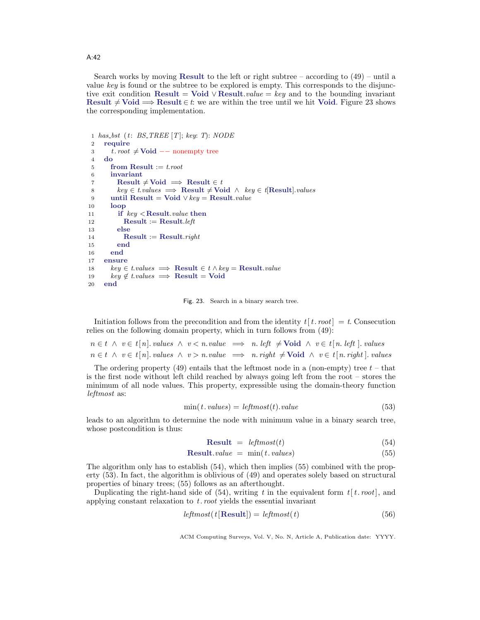Search works by moving **Result** to the left or right subtree – according to  $(49)$  – until a value key is found or the subtree to be explored is empty. This corresponds to the disjunctive exit condition Result = Void  $\vee$  Result.*value* = key and to the bounding invariant Result  $\neq$  Void  $\implies$  Result  $\in$  t: we are within the tree until we hit Void. Figure 23 shows the corresponding implementation.

```
1 has_bst (t: BS\_TREE | T]; key: T): NODE
2 require
3 t. root \neq Void −− nonempty tree
4 do
5 from Result := t.root
6 invariant
7 Result \neq Void \implies Result \in t
8 key ∈ t.values \implies Result \neq Void \land key ∈ t[Result].values
9 until Result = Void \vee key = Result.value
10 loop
11 if key <Result.value then
12 Result := Result. left13 else
14 Result := Result:15 end
16 end
17 ensure
18 key ∈ t.values \implies Result ∈ t ∧ key = Result.value
19 key \notin t.values \implies \textbf{Result} = \textbf{Void}20 end
```
Fig. 23. Search in a binary search tree.

Initiation follows from the precondition and from the identity  $t[t. root] = t$ . Consecution relies on the following domain property, which in turn follows from (49):

$$
n \in t \land v \in t[n]
$$
. values  $\land v < n$ . value  $\implies n$ . left  $\neq$  **void**  $\land v \in t[n]$ . values  $n \in t \land v \in t[n]$ . values  $\land v > n$ . value  $\implies n$ . right  $\neq$  **void**  $\land v \in t[n$ . right.

The ordering property (49) entails that the leftmost node in a (non-empty) tree  $t$  – that is the first node without left child reached by always going left from the root – stores the minimum of all node values. This property, expressible using the domain-theory function leftmost as:

$$
\min(t, values) = leftmost(t).value \tag{53}
$$

leads to an algorithm to determine the node with minimum value in a binary search tree, whose postcondition is thus:

$$
Result = leftmost(t) \tag{54}
$$

$$
Result.value = min(t.values) \tag{55}
$$

The algorithm only has to establish (54), which then implies (55) combined with the property (53). In fact, the algorithm is oblivious of (49) and operates solely based on structural properties of binary trees; (55) follows as an afterthought.

Duplicating the right-hand side of (54), writing t in the equivalent form  $t[t. root]$ , and applying constant relaxation to  $t$ . root yields the essential invariant

$$
leftmost(t[Result]) = leftmost(t)
$$
\n(56)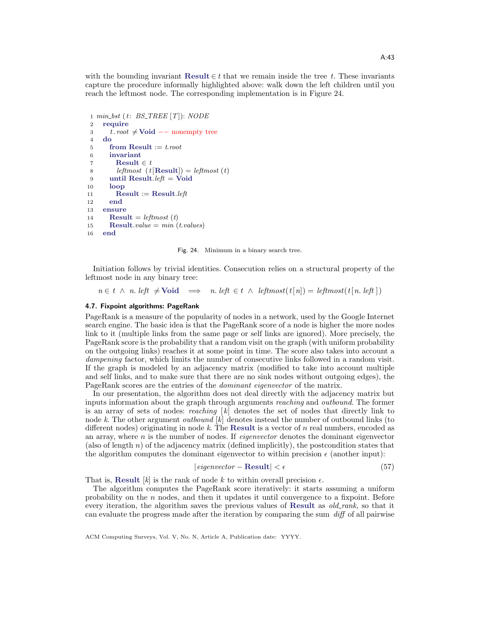with the bounding invariant Result  $\in t$  that we remain inside the tree t. These invariants capture the procedure informally highlighted above: walk down the left children until you reach the leftmost node. The corresponding implementation is in Figure 24.

```
1 min\_bst (t: BS_TREE [T]): NODE
2 require
3 t. root \neq Void −− nonempty tree
4 do
5 from Result := t root6 invariant
7 Result \in t8 leftmost (t[Result]) = leftmost(t)9 until Result.left = Void
10 loop
11 Result := Result. left12 end
13 ensure
14 Result = leftmost (t)
15 Result.value = min(t.values)16 end
```
Fig. 24. Minimum in a binary search tree.

Initiation follows by trivial identities. Consecution relies on a structural property of the leftmost node in any binary tree:

 $n \in t \land n$ . left  $\neq$  Void  $\implies n$ . left  $\in t \land$  leftmost(t[n]) = leftmost(t[n. left])

## 4.7. Fixpoint algorithms: PageRank

PageRank is a measure of the popularity of nodes in a network, used by the Google Internet search engine. The basic idea is that the PageRank score of a node is higher the more nodes link to it (multiple links from the same page or self links are ignored). More precisely, the PageRank score is the probability that a random visit on the graph (with uniform probability on the outgoing links) reaches it at some point in time. The score also takes into account a dampening factor, which limits the number of consecutive links followed in a random visit. If the graph is modeled by an adjacency matrix (modified to take into account multiple and self links, and to make sure that there are no sink nodes without outgoing edges), the PageRank scores are the entries of the dominant eigenvector of the matrix.

In our presentation, the algorithm does not deal directly with the adjacency matrix but inputs information about the graph through arguments reaching and outbound. The former is an array of sets of nodes: reaching  $[k]$  denotes the set of nodes that directly link to node k. The other argument *outbound* [k] denotes instead the number of outbound links (to different nodes) originating in node k. The **Result** is a vector of n real numbers, encoded as an array, where  $n$  is the number of nodes. If *eigenvector* denotes the dominant eigenvector (also of length  $n$ ) of the adjacency matrix (defined implicitly), the postcondition states that the algorithm computes the dominant eigenvector to within precision  $\epsilon$  (another input):

$$
|eigenvector - \text{Result}| < \epsilon \tag{57}
$$

That is, Result  $[k]$  is the rank of node k to within overall precision  $\epsilon$ .

The algorithm computes the PageRank score iteratively: it starts assuming a uniform probability on the n nodes, and then it updates it until convergence to a fixpoint. Before every iteration, the algorithm saves the previous values of Result as *old\_rank*, so that it can evaluate the progress made after the iteration by comparing the sum  $\frac{diff}{dt}$  of all pairwise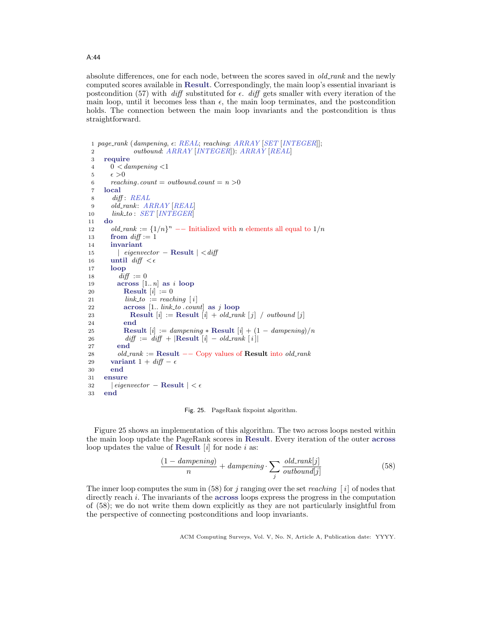absolute differences, one for each node, between the scores saved in *old\_rank* and the newly computed scores available in Result. Correspondingly, the main loop's essential invariant is postcondition (57) with diff substituted for  $\epsilon$ . diff gets smaller with every iteration of the main loop, until it becomes less than  $\epsilon$ , the main loop terminates, and the postcondition holds. The connection between the main loop invariants and the postcondition is thus straightforward.

```
1 page_rank (dampening, \epsilon: REAL; reaching: ARRAY [SET [INTEGER]];
2 outbound: ARRAY [INTEGER]): ARRAY [REAL]
3 require
4 0 \lt</math> damping <math>\lt</math>15 \epsilon > 06 reaching.count = outbound.count = n > 07 local
8 diff: REAL9 old_rank: ARRAY [REAL]
10 link_to : SET [INTEGER]
11 do
12 old_rank := \{1/n\}<sup>n</sup> -- Initialized with n elements all equal to 1/n13 from di\ddot{f} := 114 invariant
15 | eigenvector − Result | <diff
16 until diff < \epsilon17 loop
18 diff := 019 across [1..n] as i loop<br>20 Result [i] := 0Result [i] := 021 link_to := reaching[i]22 across [1.. link to .count] as j loop
23 Result [i] := \text{Result } [i] + old\_rank [j] / outbound [j]24 end
25 Result [i] := damping * Result[i] + (1 - damping)/n26 diff := diff + |\textbf{Result} [i] - old\_rank [i]|27 end
28 old_rank := Result −− Copy values of Result into old_rank
29 variant 1 + diff - \epsilon30 end
31 ensure
32 | eigenvector – Result | \lt \epsilon33 end
```
Fig. 25. PageRank fixpoint algorithm.

Figure 25 shows an implementation of this algorithm. The two across loops nested within the main loop update the PageRank scores in Result. Every iteration of the outer across loop updates the value of **Result** [i] for node i as:

$$
\frac{(1 - \text{damping})}{n} + \text{damping} \cdot \sum_{j} \frac{\text{old-rank}[j]}{\text{outbound}[j]}
$$
(58)

The inner loop computes the sum in (58) for j ranging over the set reaching  $|i|$  of nodes that directly reach i. The invariants of the across loops express the progress in the computation of (58); we do not write them down explicitly as they are not particularly insightful from the perspective of connecting postconditions and loop invariants.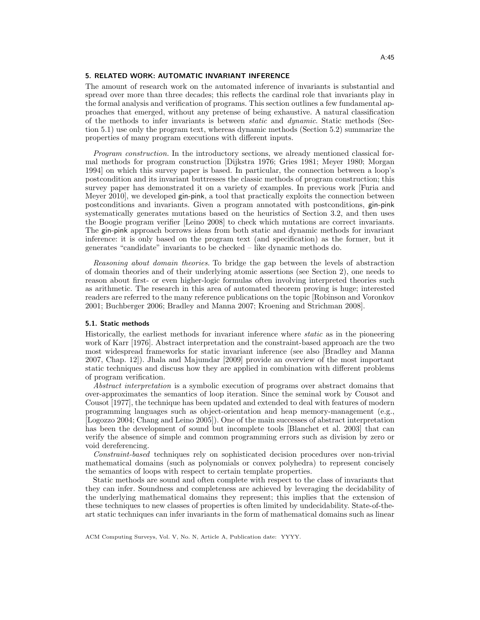## 5. RELATED WORK: AUTOMATIC INVARIANT INFERENCE

The amount of research work on the automated inference of invariants is substantial and spread over more than three decades; this reflects the cardinal role that invariants play in the formal analysis and verification of programs. This section outlines a few fundamental approaches that emerged, without any pretense of being exhaustive. A natural classification of the methods to infer invariants is between static and dynamic. Static methods (Section 5.1) use only the program text, whereas dynamic methods (Section 5.2) summarize the properties of many program executions with different inputs.

Program construction. In the introductory sections, we already mentioned classical formal methods for program construction [Dijkstra 1976; Gries 1981; Meyer 1980; Morgan 1994] on which this survey paper is based. In particular, the connection between a loop's postcondition and its invariant buttresses the classic methods of program construction; this survey paper has demonstrated it on a variety of examples. In previous work [Furia and Meyer 2010], we developed gin-pink, a tool that practically exploits the connection between postconditions and invariants. Given a program annotated with postconditions, gin-pink systematically generates mutations based on the heuristics of Section 3.2, and then uses the Boogie program verifier [Leino 2008] to check which mutations are correct invariants. The gin-pink approach borrows ideas from both static and dynamic methods for invariant inference: it is only based on the program text (and specification) as the former, but it generates "candidate" invariants to be checked – like dynamic methods do.

Reasoning about domain theories. To bridge the gap between the levels of abstraction of domain theories and of their underlying atomic assertions (see Section 2), one needs to reason about first- or even higher-logic formulas often involving interpreted theories such as arithmetic. The research in this area of automated theorem proving is huge; interested readers are referred to the many reference publications on the topic [Robinson and Voronkov 2001; Buchberger 2006; Bradley and Manna 2007; Kroening and Strichman 2008].

### 5.1. Static methods

Historically, the earliest methods for invariant inference where static as in the pioneering work of Karr [1976]. Abstract interpretation and the constraint-based approach are the two most widespread frameworks for static invariant inference (see also [Bradley and Manna 2007, Chap. 12]). Jhala and Majumdar [2009] provide an overview of the most important static techniques and discuss how they are applied in combination with different problems of program verification.

Abstract interpretation is a symbolic execution of programs over abstract domains that over-approximates the semantics of loop iteration. Since the seminal work by Cousot and Cousot [1977], the technique has been updated and extended to deal with features of modern programming languages such as object-orientation and heap memory-management (e.g., [Logozzo 2004; Chang and Leino 2005]). One of the main successes of abstract interpretation has been the development of sound but incomplete tools [Blanchet et al. 2003] that can verify the absence of simple and common programming errors such as division by zero or void dereferencing.

Constraint-based techniques rely on sophisticated decision procedures over non-trivial mathematical domains (such as polynomials or convex polyhedra) to represent concisely the semantics of loops with respect to certain template properties.

Static methods are sound and often complete with respect to the class of invariants that they can infer. Soundness and completeness are achieved by leveraging the decidability of the underlying mathematical domains they represent; this implies that the extension of these techniques to new classes of properties is often limited by undecidability. State-of-theart static techniques can infer invariants in the form of mathematical domains such as linear

ACM Computing Surveys, Vol. V, No. N, Article A, Publication date: YYYY.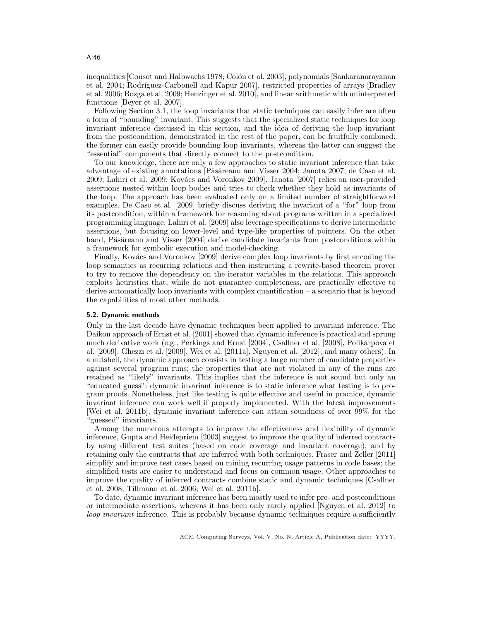inequalities [Cousot and Halbwachs 1978; Colón et al. 2003], polynomials [Sankaranarayanan] et al. 2004; Rodríguez-Carbonell and Kapur 2007], restricted properties of arrays [Bradley et al. 2006; Bozga et al. 2009; Henzinger et al. 2010], and linear arithmetic with uninterpreted functions [Beyer et al. 2007].

Following Section 3.1, the loop invariants that static techniques can easily infer are often a form of "bounding" invariant. This suggests that the specialized static techniques for loop invariant inference discussed in this section, and the idea of deriving the loop invariant from the postcondition, demonstrated in the rest of the paper, can be fruitfully combined: the former can easily provide bounding loop invariants, whereas the latter can suggest the "essential" components that directly connect to the postcondition.

To our knowledge, there are only a few approaches to static invariant inference that take advantage of existing annotations [Păsăreanu and Visser 2004; Janota 2007; de Caso et al. 2009; Lahiri et al. 2009; Kovács and Voronkov 2009]. Janota [2007] relies on user-provided assertions nested within loop bodies and tries to check whether they hold as invariants of the loop. The approach has been evaluated only on a limited number of straightforward examples. De Caso et al. [2009] briefly discuss deriving the invariant of a "for" loop from its postcondition, within a framework for reasoning about programs written in a specialized programming language. Lahiri et al. [2009] also leverage specifications to derive intermediate assertions, but focusing on lower-level and type-like properties of pointers. On the other hand, Păsăreanu and Visser [2004] derive candidate invariants from postconditions within a framework for symbolic execution and model-checking.

Finally, Kovács and Voronkov [2009] derive complex loop invariants by first encoding the loop semantics as recurring relations and then instructing a rewrite-based theorem prover to try to remove the dependency on the iterator variables in the relations. This approach exploits heuristics that, while do not guarantee completeness, are practically effective to derive automatically loop invariants with complex quantification – a scenario that is beyond the capabilities of most other methods.

#### 5.2. Dynamic methods

Only in the last decade have dynamic techniques been applied to invariant inference. The Daikon approach of Ernst et al. [2001] showed that dynamic inference is practical and sprung much derivative work (e.g., Perkings and Ernst [2004], Csallner et al. [2008], Polikarpova et al. [2009], Ghezzi et al. [2009], Wei et al. [2011a], Nguyen et al. [2012], and many others). In a nutshell, the dynamic approach consists in testing a large number of candidate properties against several program runs; the properties that are not violated in any of the runs are retained as "likely" invariants. This implies that the inference is not sound but only an "educated guess": dynamic invariant inference is to static inference what testing is to program proofs. Nonetheless, just like testing is quite effective and useful in practice, dynamic invariant inference can work well if properly implemented. With the latest improvements [Wei et al. 2011b], dynamic invariant inference can attain soundness of over 99% for the "guessed" invariants.

Among the numerous attempts to improve the effectiveness and flexibility of dynamic inference, Gupta and Heidepriem [2003] suggest to improve the quality of inferred contracts by using different test suites (based on code coverage and invariant coverage), and by retaining only the contracts that are inferred with both techniques. Fraser and Zeller [2011] simplify and improve test cases based on mining recurring usage patterns in code bases; the simplified tests are easier to understand and focus on common usage. Other approaches to improve the quality of inferred contracts combine static and dynamic techniques [Csallner et al. 2008; Tillmann et al. 2006; Wei et al. 2011b].

To date, dynamic invariant inference has been mostly used to infer pre- and postconditions or intermediate assertions, whereas it has been only rarely applied [Nguyen et al. 2012] to loop invariant inference. This is probably because dynamic techniques require a sufficiently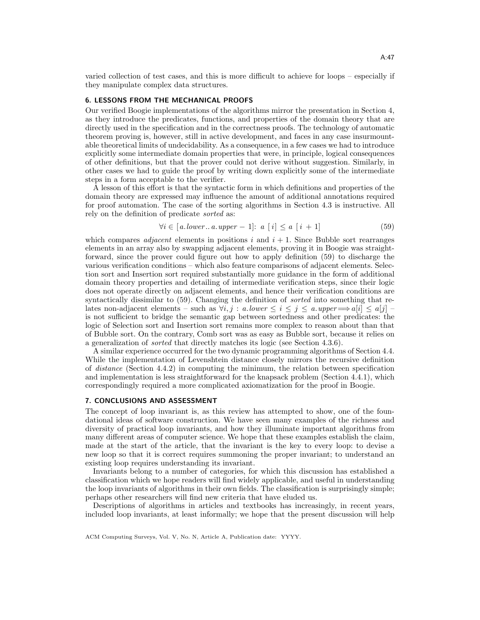varied collection of test cases, and this is more difficult to achieve for loops – especially if they manipulate complex data structures.

## 6. LESSONS FROM THE MECHANICAL PROOFS

Our verified Boogie implementations of the algorithms mirror the presentation in Section 4, as they introduce the predicates, functions, and properties of the domain theory that are directly used in the specification and in the correctness proofs. The technology of automatic theorem proving is, however, still in active development, and faces in any case insurmountable theoretical limits of undecidability. As a consequence, in a few cases we had to introduce explicitly some intermediate domain properties that were, in principle, logical consequences of other definitions, but that the prover could not derive without suggestion. Similarly, in other cases we had to guide the proof by writing down explicitly some of the intermediate steps in a form acceptable to the verifier.

A lesson of this effort is that the syntactic form in which definitions and properties of the domain theory are expressed may influence the amount of additional annotations required for proof automation. The case of the sorting algorithms in Section 4.3 is instructive. All rely on the definition of predicate sorted as:

$$
\forall i \in [a.lower..a.upper-1]: a [i] \le a [i+1]
$$
\n
$$
(59)
$$

which compares *adjacent* elements in positions i and  $i + 1$ . Since Bubble sort rearranges elements in an array also by swapping adjacent elements, proving it in Boogie was straightforward, since the prover could figure out how to apply definition (59) to discharge the various verification conditions – which also feature comparisons of adjacent elements. Selection sort and Insertion sort required substantially more guidance in the form of additional domain theory properties and detailing of intermediate verification steps, since their logic does not operate directly on adjacent elements, and hence their verification conditions are syntactically dissimilar to (59). Changing the definition of sorted into something that relates non-adjacent elements – such as  $\forall i, j : a. lower \leq i \leq j \leq a. upper \Longrightarrow a[i] \leq a[j]$ is not sufficient to bridge the semantic gap between sortedness and other predicates: the logic of Selection sort and Insertion sort remains more complex to reason about than that of Bubble sort. On the contrary, Comb sort was as easy as Bubble sort, because it relies on a generalization of sorted that directly matches its logic (see Section 4.3.6).

A similar experience occurred for the two dynamic programming algorithms of Section 4.4. While the implementation of Levenshtein distance closely mirrors the recursive definition of distance (Section 4.4.2) in computing the minimum, the relation between specification and implementation is less straightforward for the knapsack problem (Section 4.4.1), which correspondingly required a more complicated axiomatization for the proof in Boogie.

## 7. CONCLUSIONS AND ASSESSMENT

The concept of loop invariant is, as this review has attempted to show, one of the foundational ideas of software construction. We have seen many examples of the richness and diversity of practical loop invariants, and how they illuminate important algorithms from many different areas of computer science. We hope that these examples establish the claim, made at the start of the article, that the invariant is the key to every loop: to devise a new loop so that it is correct requires summoning the proper invariant; to understand an existing loop requires understanding its invariant.

Invariants belong to a number of categories, for which this discussion has established a classification which we hope readers will find widely applicable, and useful in understanding the loop invariants of algorithms in their own fields. The classification is surprisingly simple; perhaps other researchers will find new criteria that have eluded us.

Descriptions of algorithms in articles and textbooks has increasingly, in recent years, included loop invariants, at least informally; we hope that the present discussion will help

ACM Computing Surveys, Vol. V, No. N, Article A, Publication date: YYYY.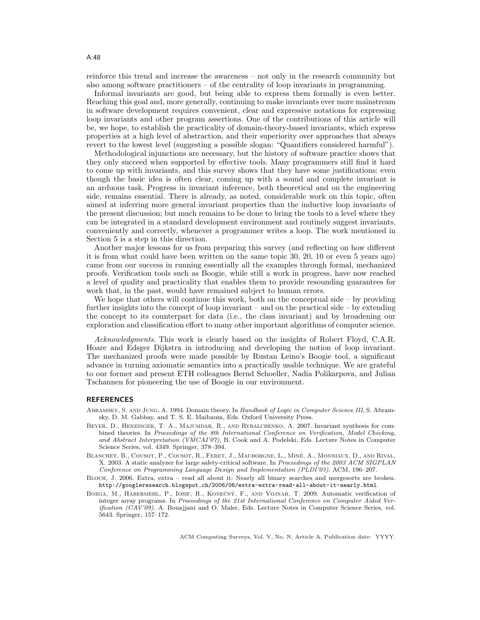reinforce this trend and increase the awareness – not only in the research community but also among software practitioners – of the centrality of loop invariants in programming.

Informal invariants are good, but being able to express them formally is even better. Reaching this goal and, more generally, continuing to make invariants ever more mainstream in software development requires convenient, clear and expressive notations for expressing loop invariants and other program assertions. One of the contributions of this article will be, we hope, to establish the practicality of domain-theory-based invariants, which express properties at a high level of abstraction, and their superiority over approaches that always revert to the lowest level (suggesting a possible slogan: "Quantifiers considered harmful").

Methodological injunctions are necessary, but the history of software practice shows that they only succeed when supported by effective tools. Many programmers still find it hard to come up with invariants, and this survey shows that they have some justifications: even though the basic idea is often clear, coming up with a sound and complete invariant is an arduous task. Progress in invariant inference, both theoretical and on the engineering side, remains essential. There is already, as noted, considerable work on this topic, often aimed at inferring more general invariant properties than the inductive loop invariants of the present discussion; but much remains to be done to bring the tools to a level where they can be integrated in a standard development environment and routinely suggest invariants, conveniently and correctly, whenever a programmer writes a loop. The work mentioned in Section 5 is a step in this direction.

Another major lessons for us from preparing this survey (and reflecting on how different it is from what could have been written on the same topic 30, 20, 10 or even 5 years ago) came from our success in running essentially all the examples through formal, mechanized proofs. Verification tools such as Boogie, while still a work in progress, have now reached a level of quality and practicality that enables them to provide resounding guarantees for work that, in the past, would have remained subject to human errors.

We hope that others will continue this work, both on the conceptual side  $-$  by providing further insights into the concept of loop invariant – and on the practical side – by extending the concept to its counterpart for data (i.e., the class invariant) and by broadening our exploration and classification effort to many other important algorithms of computer science.

Acknowledgments. This work is clearly based on the insights of Robert Floyd, C.A.R. Hoare and Edsger Dijkstra in introducing and developing the notion of loop invariant. The mechanized proofs were made possible by Rustan Leino's Boogie tool, a significant advance in turning axiomatic semantics into a practically usable technique. We are grateful to our former and present ETH colleagues Bernd Schoeller, Nadia Polikarpova, and Julian Tschannen for pioneering the use of Boogie in our environment.

## **REFERENCES**

- Abramsky, S. and Jung, A. 1994. Domain theory. In *Handbook of Logic in Computer Science III*, S. Abramsky, D. M. Gabbay, and T. S. E. Maibaum, Eds. Oxford University Press.
- Beyer, D., Henzinger, T. A., Majumdar, R., and Rybalchenko, A. 2007. Invariant synthesis for combined theories. In *Proceedings of the 8th International Conference on Verification, Model Checking, and Abstract Interpretation (VMCAI'07)*, B. Cook and A. Podelski, Eds. Lecture Notes in Computer Science Series, vol. 4349. Springer, 378–394.
- BLANCHET, B., COUSOT, P., COUSOT, R., FERET, J., MAUBORGNE, L., MINÉ, A., MONNIAUX, D., AND RIVAL, X. 2003. A static analyzer for large safety-critical software. In *Proceedings of the 2003 ACM SIGPLAN Conference on Programming Language Design and Implementation (PLDI'03)*. ACM, 196–207.
- Bloch, J. 2006. Extra, extra read all about it: Nearly all binary searches and mergesorts are broken. http://googleresearch.blogspot.ch/2006/06/extra-extra-read-all-about-it-nearly.html.
- BOZGA, M., HABERMEHL, P., IOSIF, R., KONEČNÝ, F., AND VOJNAR, T. 2009. Automatic verification of integer array programs. In *Proceedings of the 21st International Conference on Computer Aided Verification (CAV'09)*, A. Bouajjani and O. Maler, Eds. Lecture Notes in Computer Science Series, vol. 5643. Springer, 157–172.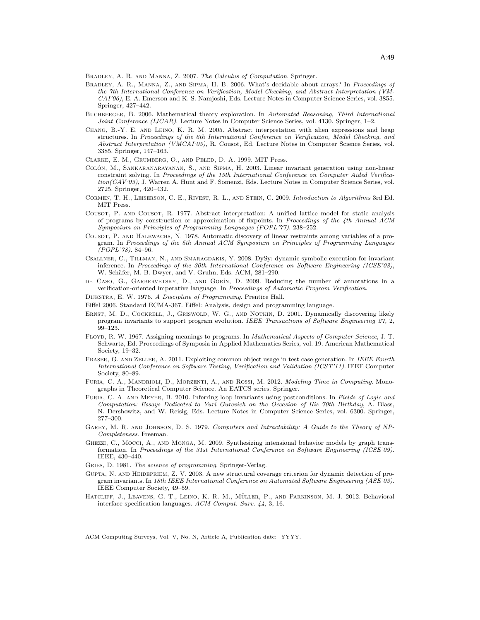Bradley, A. R. and Manna, Z. 2007. *The Calculus of Computation*. Springer.

- Bradley, A. R., Manna, Z., and Sipma, H. B. 2006. What's decidable about arrays? In *Proceedings of the 7th International Conference on Verification, Model Checking, and Abstract Interpretation (VM-CAI'06)*, E. A. Emerson and K. S. Namjoshi, Eds. Lecture Notes in Computer Science Series, vol. 3855. Springer, 427–442.
- Buchberger, B. 2006. Mathematical theory exploration. In *Automated Reasoning, Third International Joint Conference (IJCAR)*. Lecture Notes in Computer Science Series, vol. 4130. Springer, 1–2.
- Chang, B.-Y. E. and Leino, K. R. M. 2005. Abstract interpretation with alien expressions and heap structures. In *Proceedings of the 6th International Conference on Verification, Model Checking, and Abstract Interpretation (VMCAI'05)*, R. Cousot, Ed. Lecture Notes in Computer Science Series, vol. 3385. Springer, 147–163.
- Clarke, E. M., Grumberg, O., and Peled, D. A. 1999. MIT Press.
- COLÓN, M., SANKARANARAYANAN, S., AND SIPMA, H. 2003. Linear invariant generation using non-linear constraint solving. In *Proceedings of the 15th International Conference on Computer Aided Verification(CAV'03)*, J. Warren A. Hunt and F. Somenzi, Eds. Lecture Notes in Computer Science Series, vol. 2725. Springer, 420–432.
- Cormen, T. H., Leiserson, C. E., Rivest, R. L., and Stein, C. 2009. *Introduction to Algorithms* 3rd Ed. MIT Press.
- Cousot, P. and Cousot, R. 1977. Abstract interpretation: A unified lattice model for static analysis of programs by construction or approximation of fixpoints. In *Proceedings of the 4th Annual ACM Symposium on Principles of Programming Languages (POPL'77)*. 238–252.
- Cousot, P. and Halbwachs, N. 1978. Automatic discovery of linear restraints among variables of a program. In *Proceedings of the 5th Annual ACM Symposium on Principles of Programming Languages (POPL'78)*. 84–96.
- Csallner, C., Tillman, N., and Smaragdakis, Y. 2008. DySy: dynamic symbolic execution for invariant inference. In *Proceedings of the 30th International Conference on Software Engineering (ICSE'08)*, W. Schäfer, M. B. Dwyer, and V. Gruhn, Eds. ACM, 281-290.
- DE CASO, G., GARBERVETSKY, D., AND GORÍN, D. 2009. Reducing the number of annotations in a verification-oriented imperative language. In *Proceedings of Automatic Program Verification*.
- Dijkstra, E. W. 1976. *A Discipline of Programming*. Prentice Hall.
- Eiffel 2006. Standard ECMA-367. Eiffel: Analysis, design and programming language.
- ERNST, M. D., COCKRELL, J., GRISWOLD, W. G., AND NOTKIN, D. 2001. Dynamically discovering likely program invariants to support program evolution. *IEEE Transactions of Software Engineering 27,* 2, 99–123.
- Floyd, R. W. 1967. Assigning meanings to programs. In *Mathematical Aspects of Computer Science*, J. T. Schwartz, Ed. Proceedings of Symposia in Applied Mathematics Series, vol. 19. American Mathematical Society, 19–32.
- Fraser, G. and Zeller, A. 2011. Exploiting common object usage in test case generation. In *IEEE Fourth International Conference on Software Testing, Verification and Validation (ICST'11)*. IEEE Computer Society, 80–89.
- Furia, C. A., Mandrioli, D., Morzenti, A., and Rossi, M. 2012. *Modeling Time in Computing*. Monographs in Theoretical Computer Science. An EATCS series. Springer.
- Furia, C. A. and Meyer, B. 2010. Inferring loop invariants using postconditions. In *Fields of Logic and Computation: Essays Dedicated to Yuri Gurevich on the Occasion of His 70th Birthday*, A. Blass, N. Dershowitz, and W. Reisig, Eds. Lecture Notes in Computer Science Series, vol. 6300. Springer, 277–300.
- Garey, M. R. and Johnson, D. S. 1979. *Computers and Intractability: A Guide to the Theory of NP-Completeness*. Freeman.
- Ghezzi, C., Mocci, A., and Monga, M. 2009. Synthesizing intensional behavior models by graph transformation. In *Proceedings of the 31st International Conference on Software Engineering (ICSE'09)*. IEEE, 430–440.
- Gries, D. 1981. *The science of programming*. Springer-Verlag.
- Gupta, N. and Heidepriem, Z. V. 2003. A new structural coverage criterion for dynamic detection of program invariants. In *18th IEEE International Conference on Automated Software Engineering (ASE'03)*. IEEE Computer Society, 49–59.
- HATCLIFF, J., LEAVENS, G. T., LEINO, K. R. M., MÜLLER, P., AND PARKINSON, M. J. 2012. Behavioral interface specification languages. *ACM Comput. Surv. 44,* 3, 16.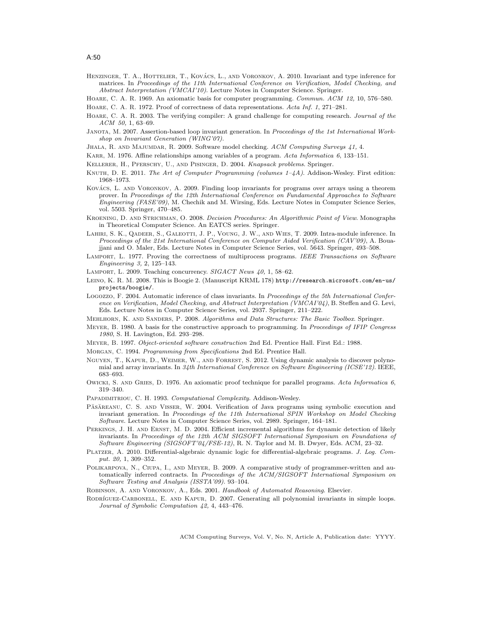- HENZINGER, T. A., HOTTELIER, T., KOVÁCS, L., AND VORONKOV, A. 2010. Invariant and type inference for matrices. In *Proceedings of the 11th International Conference on Verification, Model Checking, and Abstract Interpretation (VMCAI'10)*. Lecture Notes in Computer Science. Springer.
- Hoare, C. A. R. 1969. An axiomatic basis for computer programming. *Commun. ACM 12,* 10, 576–580.
- Hoare, C. A. R. 1972. Proof of correctness of data representations. *Acta Inf. 1*, 271–281.
- Hoare, C. A. R. 2003. The verifying compiler: A grand challenge for computing research. *Journal of the ACM 50,* 1, 63–69.
- Janota, M. 2007. Assertion-based loop invariant generation. In *Proceedings of the 1st International Workshop on Invariant Generation (WING'07)*.
- Jhala, R. and Majumdar, R. 2009. Software model checking. *ACM Computing Surveys 41,* 4.
- Karr, M. 1976. Affine relationships among variables of a program. *Acta Informatica 6*, 133–151.
- Kellerer, H., Pferschy, U., and Pisinger, D. 2004. *Knapsack problems*. Springer.
- Knuth, D. E. 2011. *The Art of Computer Programming (volumes 1–4A)*. Addison-Wesley. First edition: 1968–1973.
- KOVÁCS, L. AND VORONKOV, A. 2009. Finding loop invariants for programs over arrays using a theorem prover. In *Proceedings of the 12th International Conference on Fundamental Approaches to Software Engineering (FASE'09)*, M. Chechik and M. Wirsing, Eds. Lecture Notes in Computer Science Series, vol. 5503. Springer, 470–485.
- Kroening, D. and Strichman, O. 2008. *Decision Procedures: An Algorithmic Point of View*. Monographs in Theoretical Computer Science. An EATCS series. Springer.
- Lahiri, S. K., Qadeer, S., Galeotti, J. P., Voung, J. W., and Wies, T. 2009. Intra-module inference. In *Proceedings of the 21st International Conference on Computer Aided Verification (CAV'09)*, A. Bouajjani and O. Maler, Eds. Lecture Notes in Computer Science Series, vol. 5643. Springer, 493–508.
- Lamport, L. 1977. Proving the correctness of multiprocess programs. *IEEE Transactions on Software Engineering 3,* 2, 125–143.
- Lamport, L. 2009. Teaching concurrency. *SIGACT News 40,* 1, 58–62.
- Leino, K. R. M. 2008. This is Boogie 2. (Manuscript KRML 178) http://research.microsoft.com/en-us/ projects/boogie/.
- Logozzo, F. 2004. Automatic inference of class invariants. In *Proceedings of the 5th International Conference on Verification, Model Checking, and Abstract Interpretation (VMCAI'04)*, B. Steffen and G. Levi, Eds. Lecture Notes in Computer Science Series, vol. 2937. Springer, 211–222.
- Mehlhorn, K. and Sanders, P. 2008. *Algorithms and Data Structures: The Basic Toolbox*. Springer.
- Meyer, B. 1980. A basis for the constructive approach to programming. In *Proceedings of IFIP Congress 1980*, S. H. Lavington, Ed. 293–298.
- Meyer, B. 1997. *Object-oriented software construction* 2nd Ed. Prentice Hall. First Ed.: 1988.
- Morgan, C. 1994. *Programming from Specifications* 2nd Ed. Prentice Hall.
- Nguyen, T., Kapur, D., Weimer, W., and Forrest, S. 2012. Using dynamic analysis to discover polynomial and array invariants. In *34th International Conference on Software Engineering (ICSE'12)*. IEEE, 683–693.
- Owicki, S. and Gries, D. 1976. An axiomatic proof technique for parallel programs. *Acta Informatica 6*, 319–340.
- Papadimitriou, C. H. 1993. *Computational Complexity*. Addison-Wesley.
- PASĂREANU, C. S. AND VISSER, W. 2004. Verification of Java programs using symbolic execution and invariant generation. In *Proceedings of the 11th International SPIN Workshop on Model Checking Software*. Lecture Notes in Computer Science Series, vol. 2989. Springer, 164–181.
- Perkings, J. H. and Ernst, M. D. 2004. Efficient incremental algorithms for dynamic detection of likely invariants. In *Proceedings of the 12th ACM SIGSOFT International Symposium on Foundations of Software Engineering (SIGSOFT'04/FSE-12)*, R. N. Taylor and M. B. Dwyer, Eds. ACM, 23–32.
- Platzer, A. 2010. Differential-algebraic dynamic logic for differential-algebraic programs. *J. Log. Comput. 20,* 1, 309–352.
- POLIKARPOVA, N., CIUPA, I., AND MEYER, B. 2009. A comparative study of programmer-written and automatically inferred contracts. In *Proceedings of the ACM/SIGSOFT International Symposium on Software Testing and Analysis (ISSTA'09)*. 93–104.
- Robinson, A. and Voronkov, A., Eds. 2001. *Handbook of Automated Reasoning*. Elsevier.
- RODRÍGUEZ-CARBONELL, E. AND KAPUR, D. 2007. Generating all polynomial invariants in simple loops. *Journal of Symbolic Computation 42,* 4, 443–476.